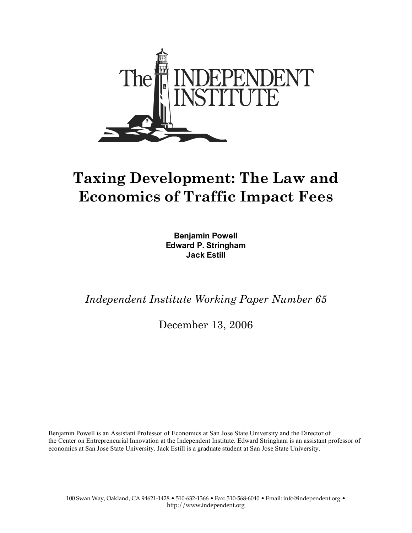

# **Taxing Development: The Law and Economics of Traffic Impact Fees**

**Benjamin Powell Edward P. Stringham Jack Estill**

*Independent Institute Working Paper Number 65*

December 13, 2006

Benjamin Powell is an Assistant Professor of Economics at San Jose State University and the Director of the Center on Entrepreneurial Innovation at the Independent Institute. Edward Stringham is an assistant professor of economics at San Jose State University. Jack Estill is a graduate student at San Jose State University.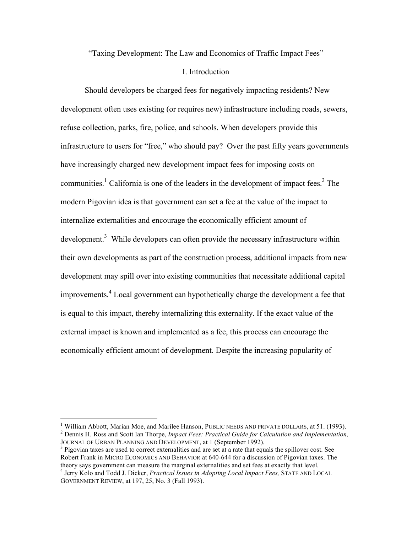"Taxing Development: The Law and Economics of Traffic Impact Fees"

#### I. Introduction

Should developers be charged fees for negatively impacting residents? New development often uses existing (or requires new) infrastructure including roads, sewers, refuse collection, parks, fire, police, and schools. When developers provide this infrastructure to users for "free," who should pay? Over the past fifty years governments have increasingly charged new development impact fees for imposing costs on communities.<sup>1</sup> California is one of the leaders in the development of impact fees.<sup>2</sup> The modern Pigovian idea is that government can set a fee at the value of the impact to internalize externalities and encourage the economically efficient amount of development.<sup>3</sup> While developers can often provide the necessary infrastructure within their own developments as part of the construction process, additional impacts from new development may spill over into existing communities that necessitate additional capital improvements. <sup>4</sup> Local government can hypothetically charge the development a fee that is equal to this impact, thereby internalizing this externality. If the exact value of the external impact is known and implemented as a fee, this process can encourage the economically efficient amount of development. Despite the increasing popularity of

<sup>&</sup>lt;sup>1</sup> William Abbott, Marian Moe, and Marilee Hanson, PUBLIC NEEDS AND PRIVATE DOLLARS, at 51. (1993).<br><sup>2</sup> Dennis H. Ross and Scott Ian Thorpe, *Impact Fees: Practical Guide for Calculation and Implementation*, JOURNAL OF U

<sup>&</sup>lt;sup>3</sup> Pigovian taxes are used to correct externalities and are set at a rate that equals the spillover cost. See Robert Frank in MICRO ECONOMICS AND BEHAVIOR at 640-644 for a discussion of Pigovian taxes. The theory says government can measure the marginal externalities and set fees at exactly that level.

<sup>&</sup>lt;sup>4</sup> Jerry Kolo and Todd J. Dicker, Practical Issues in Adopting Local Impact Fees, STATE AND LOCAL GOVERNMENT REVIEW, at 197, 25, No. 3 (Fall 1993).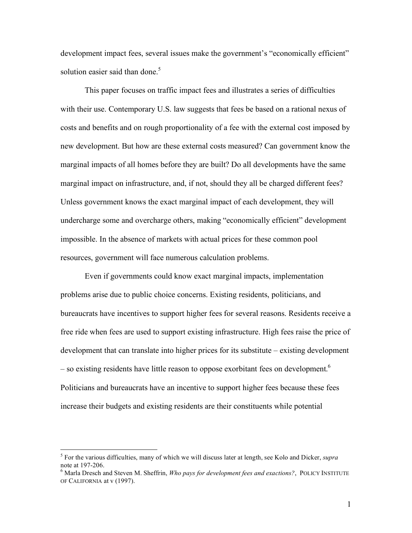development impact fees, several issues make the government's "economically efficient" solution easier said than done.<sup>5</sup>

This paper focuses on traffic impact fees and illustrates a series of difficulties with their use. Contemporary U.S. law suggests that fees be based on a rational nexus of costs and benefits and on rough proportionality of a fee with the external cost imposed by new development. But how are these external costs measured? Can government know the marginal impacts of all homes before they are built? Do all developments have the same marginal impact on infrastructure, and, if not, should they all be charged different fees? Unless government knows the exact marginal impact of each development, they will undercharge some and overcharge others, making "economically efficient" development impossible. In the absence of markets with actual prices for these common pool resources, government will face numerous calculation problems.

Even if governments could know exact marginal impacts, implementation problems arise due to public choice concerns. Existing residents, politicians, and bureaucrats have incentives to support higher fees for several reasons. Residents receive a free ride when fees are used to support existing infrastructure. High fees raise the price of development that can translate into higher prices for its substitute – existing development – so existing residents have little reason to oppose exorbitant fees on development.<sup>6</sup> Politicians and bureaucrats have an incentive to support higher fees because these fees increase their budgets and existing residents are their constituents while potential

 <sup>5</sup> For the various difficulties, many of which we will discuss later at length, see Kolo and Dicker, *supra*

note at 197-206. <sup>6</sup> Marla Dresch and Steven M. Sheffrin, *Who pays for development fees and exactions?*, POLICY INSTITUTE OF CALIFORNIA at v (1997).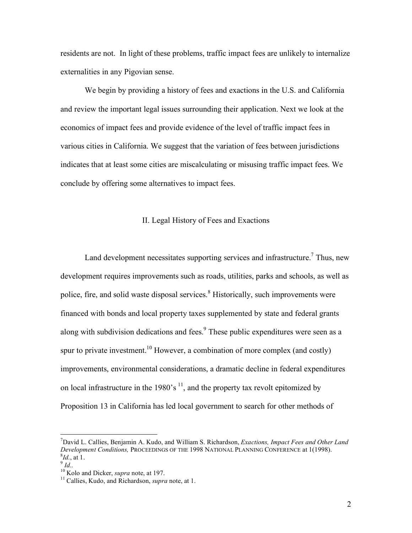residents are not. In light of these problems, traffic impact fees are unlikely to internalize externalities in any Pigovian sense.

We begin by providing a history of fees and exactions in the U.S. and California and review the important legal issues surrounding their application. Next we look at the economics of impact fees and provide evidence of the level of traffic impact fees in various cities in California. We suggest that the variation of fees between jurisdictions indicates that at least some cities are miscalculating or misusing traffic impact fees. We conclude by offering some alternatives to impact fees.

## II. Legal History of Fees and Exactions

Land development necessitates supporting services and infrastructure.<sup>7</sup> Thus, new development requires improvements such as roads, utilities, parks and schools, as well as police, fire, and solid waste disposal services. <sup>8</sup> Historically, such improvements were financed with bonds and local property taxes supplemented by state and federal grants along with subdivision dedications and fees.<sup>9</sup> These public expenditures were seen as a spur to private investment.<sup>10</sup> However, a combination of more complex (and costly) improvements, environmental considerations, a dramatic decline in federal expenditures on local infrastructure in the 1980's  $<sup>11</sup>$ , and the property tax revolt epitomized by</sup> Proposition 13 in California has led local government to search for other methods of

<sup>-&</sup>lt;br>7 David L. Callies, Benjamin A. Kudo, and William S. Richardson, *Exactions, Impact Fees and Other Land Development Conditions, PROCEEDINGS OF THE 1998 NATIONAL PLANNING CONFERENCE at 1(1998).* <sup>8</sup>*Id.*, at 1.

*Id.*, at 1. <sup>10</sup> *Id.*.<br><sup>10</sup> Kolo and Dicker, *supra* note, at 197.<br><sup>11</sup> Callies, Kudo, and Richardson, *supra* note, at 1.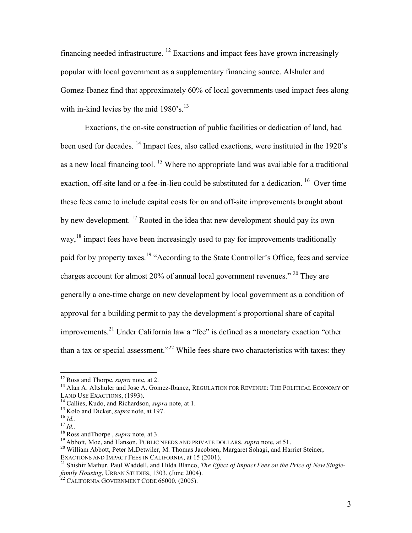financing needed infrastructure. <sup>12</sup> Exactions and impact fees have grown increasingly popular with local government as a supplementary financing source. Alshuler and Gomez-Ibanez find that approximately 60% of local governments used impact fees along with in-kind levies by the mid  $1980$ 's.<sup>13</sup>

Exactions, the on-site construction of public facilities or dedication of land, had been used for decades. <sup>14</sup> Impact fees, also called exactions, were instituted in the 1920's as a new local financing tool.  $15$  Where no appropriate land was available for a traditional exaction, off-site land or a fee-in-lieu could be substituted for a dedication. <sup>16</sup> Over time these fees came to include capital costs for on and off-site improvements brought about by new development. <sup>17</sup> Rooted in the idea that new development should pay its own way,<sup>18</sup> impact fees have been increasingly used to pay for improvements traditionally paid for by property taxes.<sup>19</sup> "According to the State Controller's Office, fees and service charges account for almost 20% of annual local government revenues." <sup>20</sup> They are generally a one-time charge on new development by local government as a condition of approval for a building permit to pay the development's proportional share of capital improvements.<sup>21</sup> Under California law a "fee" is defined as a monetary exaction "other than a tax or special assessment."<sup>22</sup> While fees share two characteristics with taxes: they

<sup>&</sup>lt;sup>12</sup> Ross and Thorpe, *supra* note, at 2.<br><sup>13</sup> Alan A. Altshuler and Jose A. Gomez-Ibanez, REGULATION FOR REVENUE: THE POLITICAL ECONOMY OF LAND USE EXACTIONS, (1993).

<sup>&</sup>lt;sup>14</sup> Callies, Kudo, and Richardson, *supra* note, at 1.<br>
<sup>15</sup> Kolo and Dicker, *supra* note, at 197.<br>
<sup>16</sup> *Id.*.<br>
<sup>18</sup> Ross and Thorpe, *supra* note, at 3.<br>
<sup>19</sup> Abbott, Moe, and Hanson, PUBLIC NEEDS AND PRIVATE DOLLARS,

<sup>&</sup>lt;sup>21</sup> Shishir Mathur, Paul Waddell, and Hilda Blanco, The Effect of Impact Fees on the Price of New Single*family Housing*, URBAN STUDIES, 1303, (June 2004).<br><sup>22</sup> CALIFORNIA GOVERNMENT CODE 66000, (2005).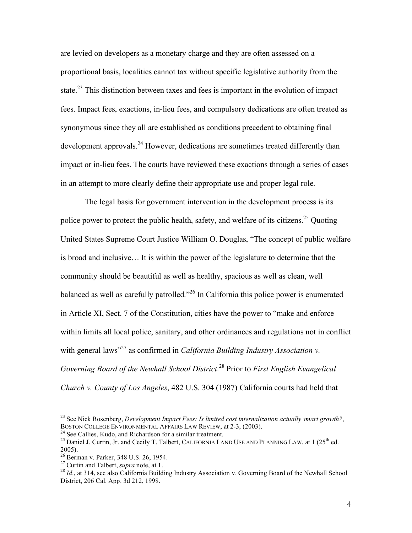are levied on developers as a monetary charge and they are often assessed on a proportional basis, localities cannot tax without specific legislative authority from the state.<sup>23</sup> This distinction between taxes and fees is important in the evolution of impact fees. Impact fees, exactions, in-lieu fees, and compulsory dedications are often treated as synonymous since they all are established as conditions precedent to obtaining final development approvals.<sup>24</sup> However, dedications are sometimes treated differently than impact or in-lieu fees. The courts have reviewed these exactions through a series of cases in an attempt to more clearly define their appropriate use and proper legal role.

The legal basis for government intervention in the development process is its police power to protect the public health, safety, and welfare of its citizens.<sup>25</sup> Quoting United States Supreme Court Justice William O. Douglas, "The concept of public welfare is broad and inclusive… It is within the power of the legislature to determine that the community should be beautiful as well as healthy, spacious as well as clean, well balanced as well as carefully patrolled."<sup>26</sup> In California this police power is enumerated in Article XI, Sect. 7 of the Constitution, cities have the power to "make and enforce within limits all local police, sanitary, and other ordinances and regulations not in conflict with general laws" <sup>27</sup> as confirmed in *California Building Industry Association v. Governing Board of the Newhall School District*. <sup>28</sup> Prior to *First English Evangelical Church v. County of Los Angeles*, 482 U.S. 304 (1987) California courts had held that

 <sup>23</sup> See Nick Rosenberg, *Development Impact Fees: Is limited cost internalization actually smart growth?*,

<sup>&</sup>lt;sup>24</sup> See Callies, Kudo, and Richardson for a similar treatment.<br><sup>25</sup> Daniel J. Curtin, Jr. and Cecily T. Talbert, CALIFORNIA LAND USE AND PLANNING LAW, at 1 (25<sup>th</sup> ed. 2005).<br><sup>26</sup> Berman v. Parker, 348 U.S. 26, 1954.<br><sup>27</sup> Curtin and Talbert, *supra* note, at 1.<br><sup>28</sup> *Id.*, at 314, see also California Building Industry Association v. Governing Board of the Newhall School

District, 206 Cal. App. 3d 212, 1998.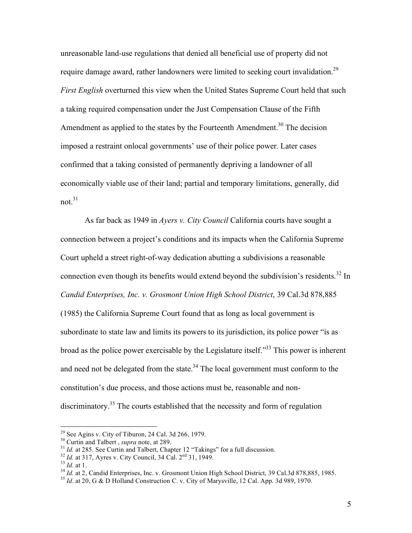unreasonable land-use regulations that denied all beneficial use of property did not require damage award, rather landowners were limited to seeking court invalidation.<sup>29</sup> *First English* overturned this view when the United States Supreme Court held that such a taking required compensation under the Just Compensation Clause of the Fifth Amendment as applied to the states by the Fourteenth Amendment.<sup>30</sup> The decision imposed a restraint onlocal governments' use of their police power. Later cases confirmed that a taking consisted of permanently depriving a landowner of all economically viable use of their land; partial and temporary limitations, generally, did not. 31

As far back as 1949 in *Ayers v. City Council* California courts have sought a connection between a project's conditions and its impacts when the California Supreme Court upheld a street right-of-way dedication abutting a subdivisions a reasonable connection even though its benefits would extend beyond the subdivision's residents.<sup>32</sup> In *Candid Enterprises, Inc. v. Grosmont Union High School District*, 39 Cal.3d 878,885 (1985) the California Supreme Court found that as long as local government is subordinate to state law and limits its powers to its jurisdiction, its police power "is as broad as the police power exercisable by the Legislature itself.<sup>33</sup> This power is inherent and need not be delegated from the state. $34$  The local government must conform to the constitution's due process, and those actions must be, reasonable and nondiscriminatory.<sup>35</sup> The courts established that the necessity and form of regulation

<sup>&</sup>lt;sup>29</sup> See Agins v. City of Tiburon, 24 Cal. 3d 266, 1979.<br><sup>30</sup> Curtin and Talbert, *supra* note, at 289.<br><sup>31</sup> *Id.* at 285. See Curtin and Talbert, Chapter 12 "Takings" for a full discussion.<br><sup>32</sup> *Id.* at 317, Ayres v. Ci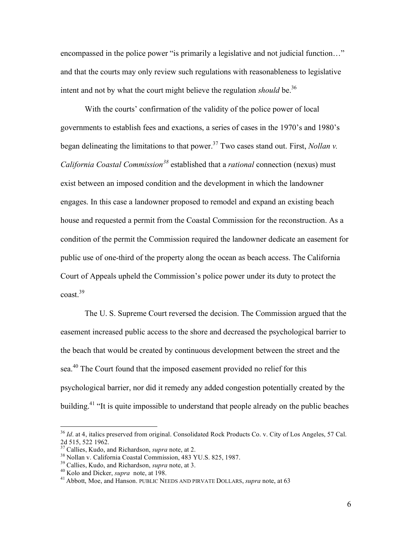encompassed in the police power "is primarily a legislative and not judicial function..." and that the courts may only review such regulations with reasonableness to legislative intent and not by what the court might believe the regulation *should* be. 36

With the courts' confirmation of the validity of the police power of local governments to establish fees and exactions, a series of cases in the 1970's and 1980's began delineating the limitations to that power. <sup>37</sup> Two cases stand out. First, *Nollan v. California Coastal Commission <sup>38</sup>* established that a *rational* connection (nexus) must exist between an imposed condition and the development in which the landowner engages. In this case a landowner proposed to remodel and expand an existing beach house and requested a permit from the Coastal Commission for the reconstruction. As a condition of the permit the Commission required the landowner dedicate an easement for public use of one-third of the property along the ocean as beach access. The California Court of Appeals upheld the Commission's police power under its duty to protect the coast. 39

The U. S. Supreme Court reversed the decision. The Commission argued that the easement increased public access to the shore and decreased the psychological barrier to the beach that would be created by continuous development between the street and the sea.<sup>40</sup> The Court found that the imposed easement provided no relief for this psychological barrier, nor did it remedy any added congestion potentially created by the building.<sup>41</sup> "It is quite impossible to understand that people already on the public beaches

<sup>&</sup>lt;sup>36</sup> *Id.* at 4, italics preserved from original. Consolidated Rock Products Co. v. City of Los Angeles, 57 Cal. 2d 515, 522 1962.

<sup>&</sup>lt;sup>37</sup> Callies, Kudo, and Richardson, *supra* note, at 2.<br><sup>38</sup> Nollan v. California Coastal Commission, 483 YU.S. 825, 1987.<br><sup>39</sup> Callies, Kudo, and Richardson, *supra* note, at 3.<br><sup>40</sup> Kolo and Dicker, *supra* note, at 198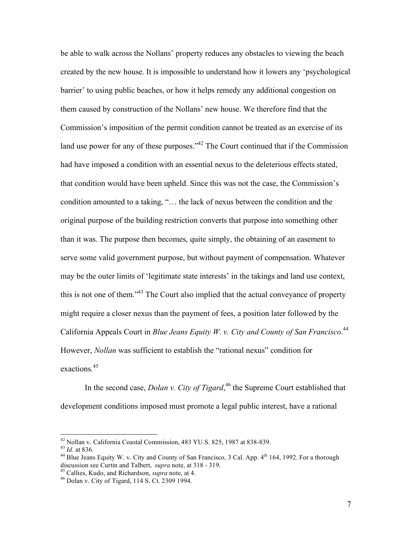be able to walk across the Nollans' property reduces any obstacles to viewing the beach created by the new house. It is impossible to understand how it lowers any 'psychological barrier' to using public beaches, or how it helps remedy any additional congestion on them caused by construction of the Nollans' new house. We therefore find that the Commission's imposition of the permit condition cannot be treated as an exercise of its land use power for any of these purposes.<sup> $142$ </sup> The Court continued that if the Commission had have imposed a condition with an essential nexus to the deleterious effects stated, that condition would have been upheld. Since this was not the case, the Commission's condition amounted to a taking, "… the lack of nexus between the condition and the original purpose of the building restriction converts that purpose into something other than it was. The purpose then becomes, quite simply, the obtaining of an easement to serve some valid government purpose, but without payment of compensation. Whatever may be the outer limits of 'legitimate state interests' in the takings and land use context, this is not one of them."<sup>43</sup> The Court also implied that the actual conveyance of property might require a closer nexus than the payment of fees, a position later followed by the California Appeals Court in *Blue Jeans Equity W. v. City and County of San Francisco*. 44 However, *Nollan* was sufficient to establish the "rational nexus" condition for exactions. 45

In the second case, *Dolan v. City of Tigard*, <sup>46</sup> the Supreme Court established that development conditions imposed must promote a legal public interest, have a rational

<sup>&</sup>lt;sup>42</sup> Nollan v. California Coastal Commission, 483 YU.S. 825, 1987 at 838-839.<br><sup>43</sup> *Id.* at 836. 44 Blue Jeans Equity W. v. City and County of San Francisco, 3 Cal. App. 4<sup>th</sup> 164, 1992. For a thorough discussion see Curtin and Talbert, *supra* note, at <sup>318</sup> - 319. <sup>45</sup> Callies, Kudo, and Richardson, *supra* note, at 4. <sup>46</sup> Dolan v. City of Tigard, <sup>114</sup> S. Ct. <sup>2309</sup> 1994.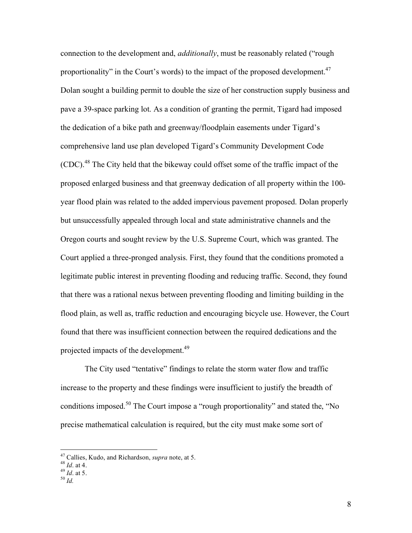connection to the development and, *additionally*, must be reasonably related ("rough proportionality" in the Court's words) to the impact of the proposed development.<sup>47</sup> Dolan sought a building permit to double the size of her construction supply business and pave a 39-space parking lot. As a condition of granting the permit, Tigard had imposed the dedication of a bike path and greenway/floodplain easements under Tigard's comprehensive land use plan developed Tigard's Community Development Code (CDC).<sup>48</sup> The City held that the bikeway could offset some of the traffic impact of the proposed enlarged business and that greenway dedication of all property within the 100 year flood plain was related to the added impervious pavement proposed. Dolan properly but unsuccessfully appealed through local and state administrative channels and the Oregon courts and sought review by the U.S. Supreme Court, which was granted. The Court applied a three-pronged analysis. First, they found that the conditions promoted a legitimate public interest in preventing flooding and reducing traffic. Second, they found that there was a rational nexus between preventing flooding and limiting building in the flood plain, as well as, traffic reduction and encouraging bicycle use. However, the Court found that there was insufficient connection between the required dedications and the projected impacts of the development.<sup>49</sup>

The City used "tentative" findings to relate the storm water flow and traffic increase to the property and these findings were insufficient to justify the breadth of conditions imposed.<sup>50</sup> The Court impose a "rough proportionality" and stated the, "No precise mathematical calculation is required, but the city must make some sort of

- 
- 

<sup>47</sup> Callies, Kudo, and Richardson, *supra* note, at 5. <sup>48</sup> *Id*. at 4. <sup>49</sup> *Id*. at 5. <sup>50</sup> *Id.*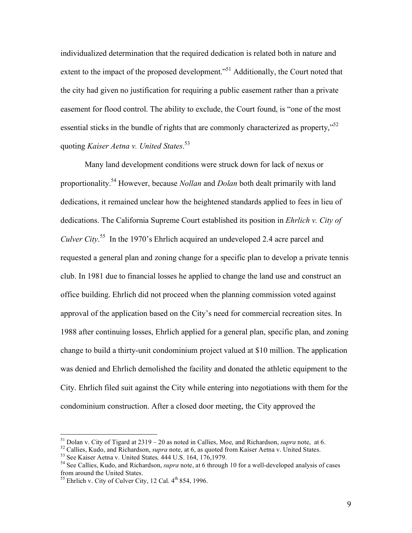individualized determination that the required dedication is related both in nature and extent to the impact of the proposed development."<sup>51</sup> Additionally, the Court noted that the city had given no justification for requiring a public easement rather than a private easement for flood control. The ability to exclude, the Court found, is "one of the most essential sticks in the bundle of rights that are commonly characterized as property,"<sup>52</sup> quoting *Kaiser Aetna v. United States*. 53

Many land development conditions were struck down for lack of nexus or proportionality. <sup>54</sup> However, because *Nollan* and *Dolan* both dealt primarily with land dedications, it remained unclear how the heightened standards applied to fees in lieu of dedications. The California Supreme Court established its position in *Ehrlich v. City of Culver City*. <sup>55</sup> In the 1970's Ehrlich acquired an undeveloped 2.4 acre parcel and requested a general plan and zoning change for a specific plan to develop a private tennis club. In 1981 due to financial losses he applied to change the land use and construct an office building. Ehrlich did not proceed when the planning commission voted against approval of the application based on the City's need for commercial recreation sites. In 1988 after continuing losses, Ehrlich applied for a general plan, specific plan, and zoning change to build a thirty-unit condominium project valued at \$10 million. The application was denied and Ehrlich demolished the facility and donated the athletic equipment to the City. Ehrlich filed suit against the City while entering into negotiations with them for the condominium construction. After a closed door meeting, the City approved the

<sup>&</sup>lt;sup>51</sup> Dolan v. City of Tigard at 2319 – 20 as noted in Callies, Moe, and Richardson, *supra* note, at 6.<br><sup>52</sup> Callies, Kudo, and Richardson, *supra* note, at 6, as quoted from Kaiser Aetna v. United States.<br><sup>53</sup> See Kaiser

 $55$  Ehrlich v. City of Culver City, 12 Cal.  $4<sup>th</sup> 854$ , 1996.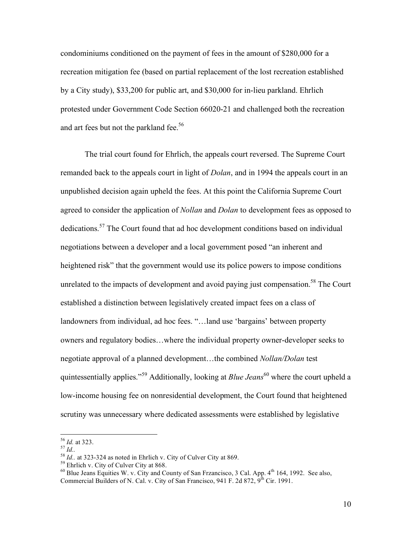condominiums conditioned on the payment of fees in the amount of \$280,000 for a recreation mitigation fee (based on partial replacement of the lost recreation established by a City study), \$33,200 for public art, and \$30,000 for in-lieu parkland. Ehrlich protested under Government Code Section 66020-21 and challenged both the recreation and art fees but not the parkland fee.<sup>56</sup>

The trial court found for Ehrlich, the appeals court reversed. The Supreme Court remanded back to the appeals court in light of *Dolan*, and in 1994 the appeals court in an unpublished decision again upheld the fees. At this point the California Supreme Court agreed to consider the application of *Nollan* and *Dolan* to development fees as opposed to dedications.<sup>57</sup> The Court found that ad hoc development conditions based on individual negotiations between a developer and a local government posed "an inherent and heightened risk" that the government would use its police powers to impose conditions unrelated to the impacts of development and avoid paying just compensation.<sup>58</sup> The Court established a distinction between legislatively created impact fees on a class of landowners from individual, ad hoc fees. "…land use 'bargains' between property owners and regulatory bodies…where the individual property owner-developer seeks to negotiate approval of a planned development…the combined *Nollan/Dolan* test quintessentially applies."<sup>59</sup> Additionally, looking at *Blue Jeans* 60 where the court upheld a low-income housing fee on nonresidential development, the Court found that heightened scrutiny was unnecessary where dedicated assessments were established by legislative

<sup>&</sup>lt;sup>56</sup> *Id.* at 323.<br>
<sup>57</sup> *Id.*<br>
<sup>58</sup> *Id.* at 323-324 as noted in Ehrlich v. City of Culver City at 869.<br>
<sup>59</sup> Ehrlich v. City of Culver City at 868.<br>
<sup>60</sup> Blue Jeans Equities W. v. City and County of San Frzancisco, 3 Ca Commercial Builders of N. Cal. v. City of San Francisco, 941 F. 2d 872,  $9^{th}$  Cir. 1991.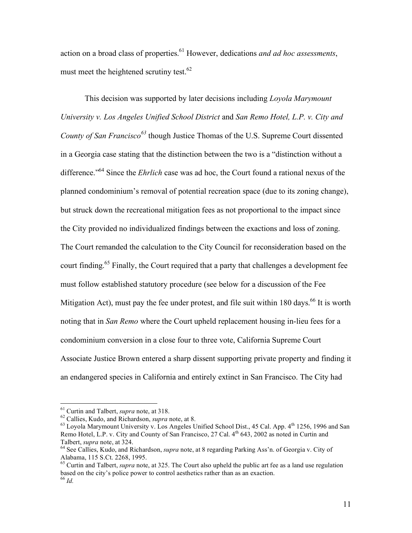action on a broad class of properties. <sup>61</sup> However, dedications *and ad hoc assessments*, must meet the heightened scrutiny test.<sup>62</sup>

This decision was supported by later decisions including *Loyola Marymount University v. Los Angeles Unified School District* and *San Remo Hotel, L.P. v. City and County of San Francisco <sup>63</sup>* though Justice Thomas of the U.S. Supreme Court dissented in a Georgia case stating that the distinction between the two is a "distinction without a difference." <sup>64</sup> Since the *Ehrlich* case was ad hoc, the Court found a rational nexus of the planned condominium's removal of potential recreation space (due to its zoning change), but struck down the recreational mitigation fees as not proportional to the impact since the City provided no individualized findings between the exactions and loss of zoning. The Court remanded the calculation to the City Council for reconsideration based on the court finding.<sup>65</sup> Finally, the Court required that a party that challenges a development fee must follow established statutory procedure (see below for a discussion of the Fee Mitigation Act), must pay the fee under protest, and file suit within 180 days.<sup>66</sup> It is worth noting that in *San Remo* where the Court upheld replacement housing in-lieu fees for a condominium conversion in a close four to three vote, California Supreme Court Associate Justice Brown entered a sharp dissent supporting private property and finding it an endangered species in California and entirely extinct in San Francisco. The City had

<sup>&</sup>lt;sup>61</sup> Curtin and Talbert, *supra* note, at 318.<br><sup>62</sup> Callies, Kudo, and Richardson, *supra* note, at 8.<br><sup>63</sup> Loyola Marymount University v. Los Angeles Unified School Dist., 45 Cal. App. 4<sup>th</sup> 1256, 1996 and San Remo Hotel, L.P. v. City and County of San Francisco, 27 Cal. 4<sup>th</sup> 643, 2002 as noted in Curtin and Talbert, *supra* note, at 324.<br><sup>64</sup> See Callies, Kudo, and Richardson, *supra* note, at 8 regarding Parking Ass'n. of Georgia v. City of

Alabama, 115 S.Ct. 2268, 1995.<br><sup>65</sup> Curtin and Talbert, *supra* note, at 325. The Court also upheld the public art fee as a land use regulation

based on the city's police power to control aesthetics rather than as an exaction. <sup>66</sup> *Id.*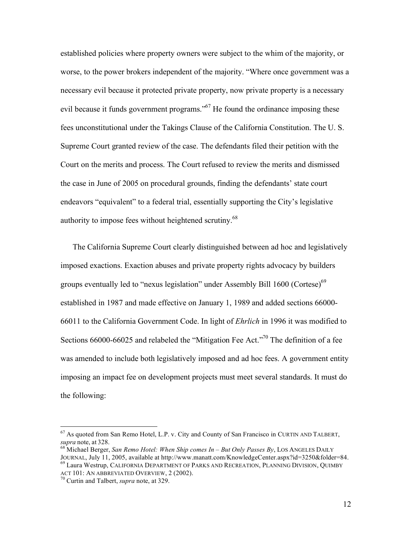established policies where property owners were subject to the whim of the majority, or worse, to the power brokers independent of the majority. "Where once government was a necessary evil because it protected private property, now private property is a necessary evil because it funds government programs."<sup>67</sup> He found the ordinance imposing these fees unconstitutional under the Takings Clause of the California Constitution. The U. S. Supreme Court granted review of the case. The defendants filed their petition with the Court on the merits and process. The Court refused to review the merits and dismissed the case in June of 2005 on procedural grounds, finding the defendants' state court endeavors "equivalent" to a federal trial, essentially supporting the City's legislative authority to impose fees without heightened scrutiny.<sup>68</sup>

The California Supreme Court clearly distinguished between ad hoc and legislatively imposed exactions. Exaction abuses and private property rights advocacy by builders groups eventually led to "nexus legislation" under Assembly Bill 1600 (Cortese)<sup>69</sup> established in 1987 and made effective on January 1, 1989 and added sections 66000- 66011 to the California Government Code. In light of *Ehrlich* in 1996 it was modified to Sections 66000-66025 and relabeled the "Mitigation Fee Act."<sup>70</sup> The definition of a fee was amended to include both legislatively imposed and ad hoc fees. A government entity imposing an impact fee on development projects must meet several standards. It must do the following:

 $67$  As quoted from San Remo Hotel, L.P. v. City and County of San Francisco in CURTIN AND TALBERT, *supra* note, at 328.

*supra* note, at 328. <sup>68</sup> Michael Berger, *San Remo Hotel: When Ship comes In – But Only Passes By*, LOS ANGELES DAILY JOURNAL, July 11, 2005, available at http://www.manatt.com/KnowledgeCenter.aspx?id=3250&folder=84. <sup>69</sup> Laura Westrup, CALIFORNIA DEPARTMENT OF PARKS AND RECREATION, PLANNING DIVISION, QUIMBY

ACT 101: AN ABBREVIATED OVERVIEW, 2 (2002).<br><sup>70</sup> Curtin and Talbert, *supra* note, at 329.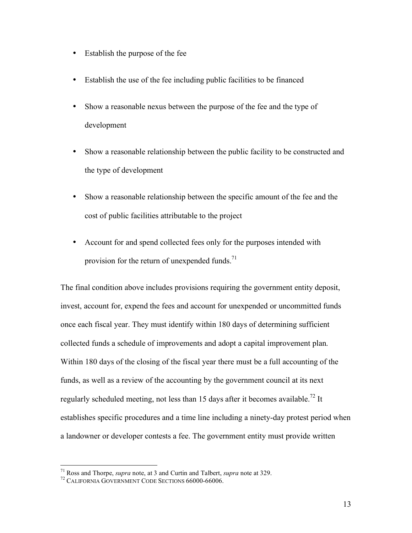- Establish the purpose of the fee
- Establish the use of the fee including public facilities to be financed
- Show a reasonable nexus between the purpose of the fee and the type of development
- Show a reasonable relationship between the public facility to be constructed and the type of development
- Show a reasonable relationship between the specific amount of the fee and the cost of public facilities attributable to the project
- Account for and spend collected fees only for the purposes intended with provision for the return of unexpended funds. $^{71}$

The final condition above includes provisions requiring the government entity deposit, invest, account for, expend the fees and account for unexpended or uncommitted funds once each fiscal year. They must identify within 180 days of determining sufficient collected funds a schedule of improvements and adopt a capital improvement plan. Within 180 days of the closing of the fiscal year there must be a full accounting of the funds, as well as a review of the accounting by the government council at its next regularly scheduled meeting, not less than 15 days after it becomes available.<sup>72</sup> It establishes specific procedures and a time line including a ninety-day protest period when a landowner or developer contests a fee. The government entity must provide written

<sup>&</sup>lt;sup>71</sup> Ross and Thorpe, *supra* note, at 3 and Curtin and Talbert, *supra* note at 329.<br><sup>72</sup> CALIFORNIA GOVERNMENT CODE SECTIONS 66000-66006.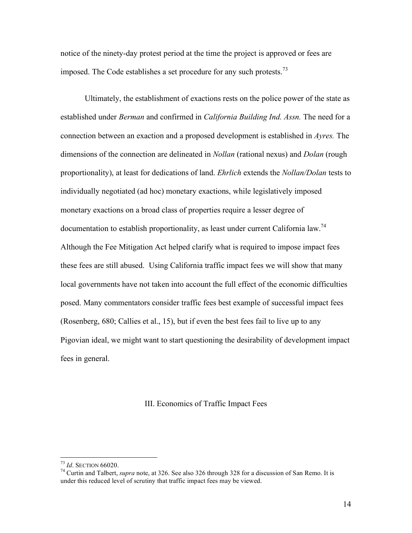notice of the ninety-day protest period at the time the project is approved or fees are imposed. The Code establishes a set procedure for any such protests.<sup>73</sup>

Ultimately, the establishment of exactions rests on the police power of the state as established under *Berman* and confirmed in *California Building Ind. Assn.* The need for a connection between an exaction and a proposed development is established in *Ayres.* The dimensions of the connection are delineated in *Nollan* (rational nexus) and *Dolan* (rough proportionality), at least for dedications of land. *Ehrlich* extends the *Nollan/Dolan* tests to individually negotiated (ad hoc) monetary exactions, while legislatively imposed monetary exactions on a broad class of properties require a lesser degree of documentation to establish proportionality, as least under current California law.<sup>74</sup> Although the Fee Mitigation Act helped clarify what is required to impose impact fees these fees are still abused. Using California traffic impact fees we will show that many local governments have not taken into account the full effect of the economic difficulties posed. Many commentators consider traffic fees best example of successful impact fees (Rosenberg, 680; Callies et al., 15), but if even the best fees fail to live up to any Pigovian ideal, we might want to start questioning the desirability of development impact fees in general.

## III. Economics of Traffic Impact Fees

<sup>&</sup>lt;sup>73</sup> *Id*. SECTION 66020.<br><sup>74</sup> Curtin and Talbert, *supra* note, at 326. See also 326 through 328 for a discussion of San Remo. It is under this reduced level of scrutiny that traffic impact fees may be viewed.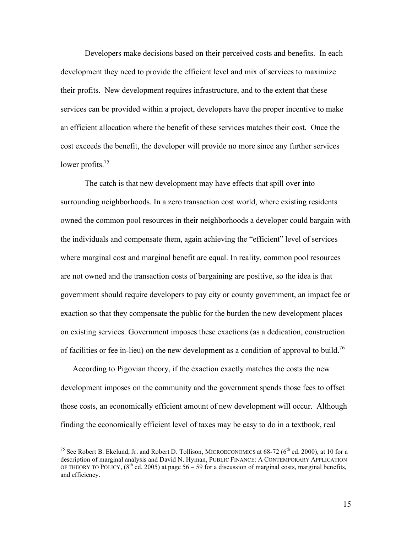Developers make decisions based on their perceived costs and benefits. In each development they need to provide the efficient level and mix of services to maximize their profits. New development requires infrastructure, and to the extent that these services can be provided within a project, developers have the proper incentive to make an efficient allocation where the benefit of these services matches their cost. Once the cost exceeds the benefit, the developer will provide no more since any further services lower profits.<sup>75</sup>

The catch is that new development may have effects that spill over into surrounding neighborhoods. In a zero transaction cost world, where existing residents owned the common pool resources in their neighborhoods a developer could bargain with the individuals and compensate them, again achieving the "efficient" level of services where marginal cost and marginal benefit are equal. In reality, common pool resources are not owned and the transaction costs of bargaining are positive, so the idea is that government should require developers to pay city or county government, an impact fee or exaction so that they compensate the public for the burden the new development places on existing services. Government imposes these exactions (as a dedication, construction of facilities or fee in-lieu) on the new development as a condition of approval to build.<sup>76</sup>

According to Pigovian theory, if the exaction exactly matches the costs the new development imposes on the community and the government spends those fees to offset those costs, an economically efficient amount of new development will occur. Although finding the economically efficient level of taxes may be easy to do in a textbook, real

15

<sup>&</sup>lt;sup>75</sup> See Robert B. Ekelund, Jr. and Robert D. Tollison, MICROECONOMICS at  $68-72$  ( $6<sup>th</sup>$  ed. 2000), at 10 for a description of marginal analysis and David N. Hyman, PUBLIC FINANCE: A CONTEMPORARY APPLICATION OF THEORY TO POLICY,  $(8^{th}$  ed. 2005) at page 56 – 59 for a discussion of marginal costs, marginal benefits, and efficiency.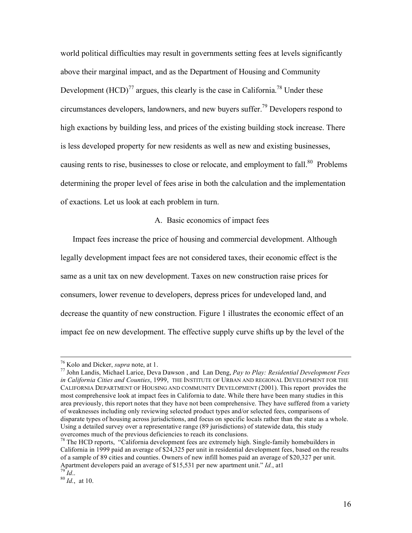world political difficulties may result in governments setting fees at levels significantly above their marginal impact, and as the Department of Housing and Community Development  $(HCD)^{77}$  argues, this clearly is the case in California.<sup>78</sup> Under these circumstances developers, landowners, and new buyers suffer. <sup>79</sup> Developers respond to high exactions by building less, and prices of the existing building stock increase. There is less developed property for new residents as well as new and existing businesses, causing rents to rise, businesses to close or relocate, and employment to fall.<sup>80</sup> Problems determining the proper level of fees arise in both the calculation and the implementation of exactions. Let us look at each problem in turn.

## A. Basic economics of impact fees

Impact fees increase the price of housing and commercial development. Although legally development impact fees are not considered taxes, their economic effect is the same as a unit tax on new development. Taxes on new construction raise prices for consumers, lower revenue to developers, depress prices for undeveloped land, and decrease the quantity of new construction. Figure 1 illustrates the economic effect of an impact fee on new development. The effective supply curve shifts up by the level of the

<sup>76</sup> Kolo and Dicker, *supra* note, at 1. <sup>77</sup> John Landis, Michael Larice, Deva Dawson , and Lan Deng, *Pay to Play: Residential Development Fees in California Cities and Counties*, 1999, THE INSTITUTE OF URBAN AND REGIONAL DEVELOPMENT FOR THE CALIFORNIA DEPARTMENT OF HOUSING AND COMMUNITY DEVELOPMENT (2001). This report provides the most comprehensive look at impact fees in California to date. While there have been many studies in this area previously, this report notes that they have not been comprehensive. They have suffered from a variety of weaknesses including only reviewing selected product types and/or selected fees, comparisons of disparate types of housing across jurisdictions, and focus on specific locals rather than the state as a whole. Using a detailed survey over a representative range (89 jurisdictions) of statewide data, this study overcomes much of the previous deficiencies to reach its conclusions. <sup>78</sup> The HCD reports, "California development fees are extremely high. Single-family homebuilders in

California in 1999 paid an average of \$24,325 per unit in residential development fees, based on the results of a sample of 89 cities and counties. Owners of new infill homes paid an average of \$20,327 per unit. Apartment developers paid an average of \$15,531 per new apartment unit." *Id.*, at 1 <sup>79</sup> *Id.*, at 10.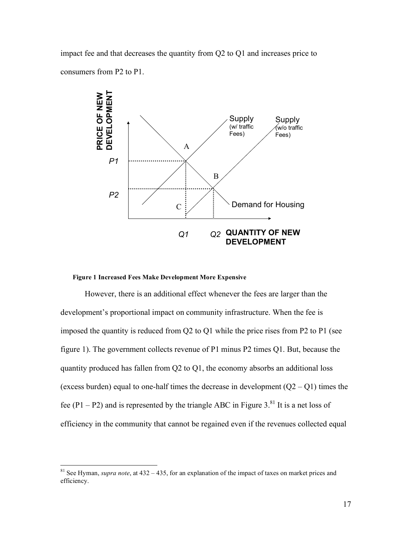impact fee and that decreases the quantity from Q2 to Q1 and increases price to consumers from P2 to P1.



#### **Figure 1 Increased Fees Make Development More Expensive**

However, there is an additional effect whenever the fees are larger than the development's proportional impact on community infrastructure. When the fee is imposed the quantity is reduced from Q2 to Q1 while the price rises from P2 to P1 (see figure 1). The government collects revenue of P1 minus P2 times Q1. But, because the quantity produced has fallen from Q2 to Q1, the economy absorbs an additional loss (excess burden) equal to one-half times the decrease in development  $(Q2 - Q1)$  times the fee (P1 – P2) and is represented by the triangle ABC in Figure 3.<sup>81</sup> It is a net loss of efficiency in the community that cannot be regained even if the revenues collected equal

 <sup>81</sup> See Hyman, *supra note*, at <sup>432</sup> – 435, for an explanation of the impact of taxes on market prices and efficiency.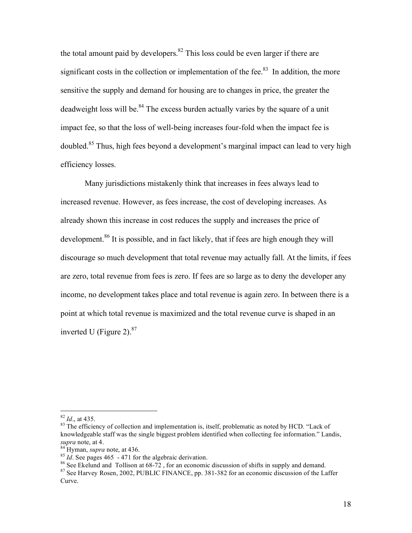the total amount paid by developers.  $82$  This loss could be even larger if there are significant costs in the collection or implementation of the fee. $83$  In addition, the more sensitive the supply and demand for housing are to changes in price, the greater the deadweight loss will be.<sup>84</sup> The excess burden actually varies by the square of a unit impact fee, so that the loss of well-being increases four-fold when the impact fee is doubled.<sup>85</sup> Thus, high fees beyond a development's marginal impact can lead to very high efficiency losses.

Many jurisdictions mistakenly think that increases in fees always lead to increased revenue. However, as fees increase, the cost of developing increases. As already shown this increase in cost reduces the supply and increases the price of development.<sup>86</sup> It is possible, and in fact likely, that if fees are high enough they will discourage so much development that total revenue may actually fall. At the limits, if fees are zero, total revenue from fees is zero. If fees are so large as to deny the developer any income, no development takes place and total revenue is again zero. In between there is a point at which total revenue is maximized and the total revenue curve is shaped in an inverted U (Figure 2).<sup>87</sup>

 $82$  *Id.*, at 435.<br><sup>83</sup> The efficiency of collection and implementation is, itself, problematic as noted by HCD. "Lack of knowledgeable staff was the single biggest problem identified when collecting fee information." Landis, supra note, at 4.<br><sup>84</sup> Hyman, *supra* note, at 436.<br><sup>85</sup> *Id*. See pages 465 - 471 for the algebraic derivation.<br><sup>86</sup> See Ekelund and Tollison at 68-72, for an economic discussion of shifts in supply and demand.<br><sup>87</sup> See

Curve.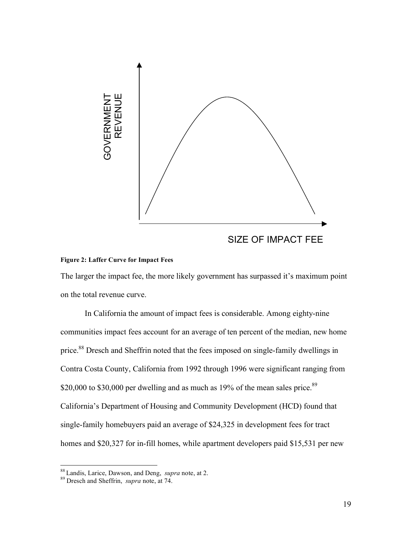

#### **Figure 2: Laffer Curve for Impact Fees**

The larger the impact fee, the more likely government has surpassed it's maximum point on the total revenue curve.

In California the amount of impact fees is considerable. Among eighty-nine communities impact fees account for an average of ten percent of the median, new home price.<sup>88</sup> Dresch and Sheffrin noted that the fees imposed on single-family dwellings in Contra Costa County, California from 1992 through 1996 were significant ranging from \$20,000 to \$30,000 per dwelling and as much as  $19\%$  of the mean sales price.<sup>89</sup> California's Department of Housing and Community Development (HCD) found that single-family homebuyers paid an average of \$24,325 in development fees for tract homes and \$20,327 for in-fill homes, while apartment developers paid \$15,531 per new

<sup>88</sup> Landis, Larice, Dawson, and Deng, *supra* note, at 2. <sup>89</sup> Dresch and Sheffrin, *supra* note, at 74.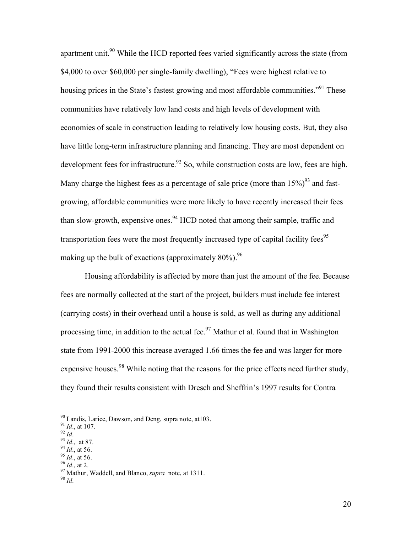apartment unit.<sup>90</sup> While the HCD reported fees varied significantly across the state (from \$4,000 to over \$60,000 per single-family dwelling), "Fees were highest relative to housing prices in the State's fastest growing and most affordable communities."<sup>91</sup> These communities have relatively low land costs and high levels of development with economies of scale in construction leading to relatively low housing costs. But, they also have little long-term infrastructure planning and financing. They are most dependent on development fees for infrastructure.<sup>92</sup> So, while construction costs are low, fees are high. Many charge the highest fees as a percentage of sale price (more than  $15\%$ )<sup>93</sup> and fastgrowing, affordable communities were more likely to have recently increased their fees than slow-growth, expensive ones.<sup>94</sup> HCD noted that among their sample, traffic and transportation fees were the most frequently increased type of capital facility fees<sup>95</sup> making up the bulk of exactions (approximately 80%).<sup>96</sup>

Housing affordability is affected by more than just the amount of the fee. Because fees are normally collected at the start of the project, builders must include fee interest (carrying costs) in their overhead until a house is sold, as well as during any additional processing time, in addition to the actual fee.<sup>97</sup> Mathur et al. found that in Washington state from 1991-2000 this increase averaged 1.66 times the fee and was larger for more expensive houses.<sup>98</sup> While noting that the reasons for the price effects need further study, they found their results consistent with Dresch and Sheffrin's 1997 results for Contra

- 
- 
- 

<sup>&</sup>lt;sup>90</sup> Landis, Larice, Dawson, and Deng, supra note, at 103.<br>
<sup>91</sup> *Id.*, at 107.<br>
<sup>92</sup> *Id.*, at 87.<br>
<sup>93</sup> *Id.*, at 87.<br>
<sup>94</sup> *Id.*, at 56.<br>
<sup>95</sup> *Id.*, at 56.<br>
<sup>95</sup> *Id.*, at 56.<br>
<sup>96</sup> *Id.*, at 2.<br>
<sup>97</sup> Mathur, Waddell,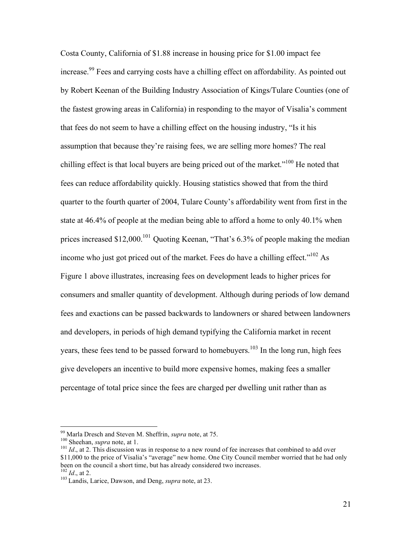Costa County, California of \$1.88 increase in housing price for \$1.00 impact fee increase.<sup>99</sup> Fees and carrying costs have a chilling effect on affordability. As pointed out by Robert Keenan of the Building Industry Association of Kings/Tulare Counties (one of the fastest growing areas in California) in responding to the mayor of Visalia's comment that fees do not seem to have a chilling effect on the housing industry, "Is it his assumption that because they're raising fees, we are selling more homes? The real chilling effect is that local buyers are being priced out of the market."<sup>100</sup> He noted that fees can reduce affordability quickly. Housing statistics showed that from the third quarter to the fourth quarter of 2004, Tulare County's affordability went from first in the state at 46.4% of people at the median being able to afford a home to only 40.1% when prices increased \$12,000.<sup>101</sup> Quoting Keenan, "That's 6.3% of people making the median income who just got priced out of the market. Fees do have a chilling effect." $102$  As Figure 1 above illustrates, increasing fees on development leads to higher prices for consumers and smaller quantity of development. Although during periods of low demand fees and exactions can be passed backwards to landowners or shared between landowners and developers, in periods of high demand typifying the California market in recent years, these fees tend to be passed forward to homebuyers.<sup>103</sup> In the long run, high fees give developers an incentive to build more expensive homes, making fees a smaller percentage of total price since the fees are charged per dwelling unit rather than as

<sup>&</sup>lt;sup>99</sup> Marla Dresch and Steven M. Sheffrin, *supra* note, at 75.<br><sup>100</sup> Sheehan, *supra* note, at 1.<br><sup>101</sup> *Id*., at 2. This discussion was in response to a new round of fee increases that combined to add over \$11,000 to the price of Visalia's "average" new home. One City Council member worried that he had only been on the council a short time, but has already considered two increases.

<sup>&</sup>lt;sup>102</sup> *Id.*, at 2.<br><sup>103</sup> Landis, Larice, Dawson, and Deng, *supra* note, at 23.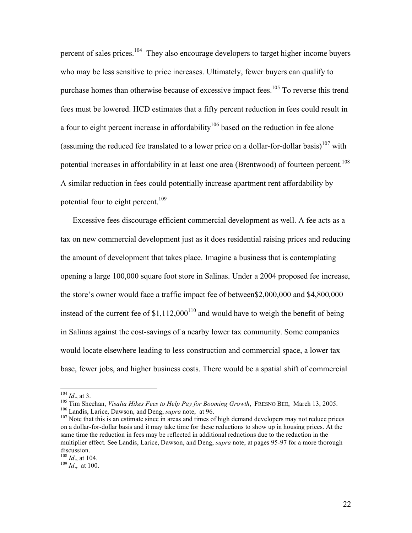percent of sales prices.<sup>104</sup> They also encourage developers to target higher income buyers who may be less sensitive to price increases. Ultimately, fewer buyers can qualify to purchase homes than otherwise because of excessive impact fees.<sup>105</sup> To reverse this trend fees must be lowered. HCD estimates that a fifty percent reduction in fees could result in a four to eight percent increase in affordability<sup>106</sup> based on the reduction in fee alone (assuming the reduced fee translated to a lower price on a dollar-for-dollar basis)<sup>107</sup> with potential increases in affordability in at least one area (Brentwood) of fourteen percent.<sup>108</sup> A similar reduction in fees could potentially increase apartment rent affordability by potential four to eight percent.<sup>109</sup>

Excessive fees discourage efficient commercial development as well. A fee acts as a tax on new commercial development just as it does residential raising prices and reducing the amount of development that takes place. Imagine a business that is contemplating opening a large 100,000 square foot store in Salinas. Under a 2004 proposed fee increase, the store's owner would face a traffic impact fee of between\$2,000,000 and \$4,800,000 instead of the current fee of  $$1,112,000^{110}$  and would have to weigh the benefit of being in Salinas against the cost-savings of a nearby lower tax community. Some companies would locate elsewhere leading to less construction and commercial space, a lower tax base, fewer jobs, and higher business costs. There would be a spatial shift of commercial

<sup>&</sup>lt;sup>104</sup> *Id.*, at 3.<br><sup>105</sup> Tim Sheehan, *Visalia Hikes Fees to Help Pay for Booming Growth*, FRESNO BEE, March 13, 2005.<br><sup>106</sup> Landis, Larice, Dawson, and Deng, *supra* note, at 96.<br><sup>107</sup> Note that this is an estimate since

on a dollar-for-dollar basis and it may take time for these reductions to show up in housing prices. At the same time the reduction in fees may be reflected in additional reductions due to the reduction in the multiplier effect. See Landis, Larice, Dawson, and Deng, *supra* note, at pages 95-97 for a more thorough discussion.<br><sup>108</sup> *Id.*, at 104.<br><sup>109</sup> *Id.*, at 100.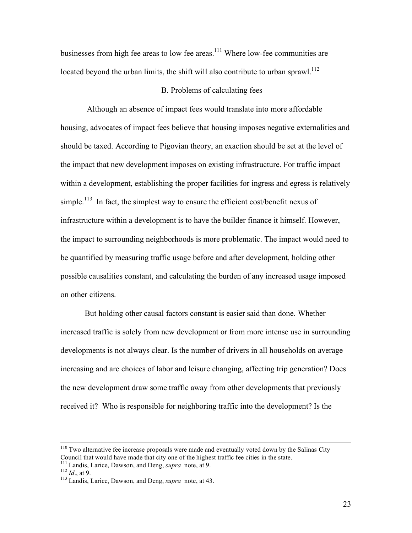businesses from high fee areas to low fee areas.<sup>111</sup> Where low-fee communities are located beyond the urban limits, the shift will also contribute to urban sprawl.<sup>112</sup>

# B. Problems of calculating fees

Although an absence of impact fees would translate into more affordable housing, advocates of impact fees believe that housing imposes negative externalities and should be taxed. According to Pigovian theory, an exaction should be set at the level of the impact that new development imposes on existing infrastructure. For traffic impact within a development, establishing the proper facilities for ingress and egress is relatively simple.<sup>113</sup> In fact, the simplest way to ensure the efficient cost/benefit nexus of infrastructure within a development is to have the builder finance it himself. However, the impact to surrounding neighborhoods is more problematic. The impact would need to be quantified by measuring traffic usage before and after development, holding other possible causalities constant, and calculating the burden of any increased usage imposed on other citizens.

But holding other causal factors constant is easier said than done. Whether increased traffic is solely from new development or from more intense use in surrounding developments is not always clear. Is the number of drivers in all households on average increasing and are choices of labor and leisure changing, affecting trip generation? Does the new development draw some traffic away from other developments that previously received it? Who is responsible for neighboring traffic into the development? Is the

<sup>&</sup>lt;sup>110</sup> Two alternative fee increase proposals were made and eventually voted down by the Salinas City Council that would have made that city one of the highest traffic fee cities in the state.<br><sup>111</sup> Landis, Larice, Dawson, and Deng, *supra* note, at 9.<br><sup>112</sup> *Id.*, at 9.<br><sup>113</sup> Landis, Larice, Dawson, and Deng, *supra* not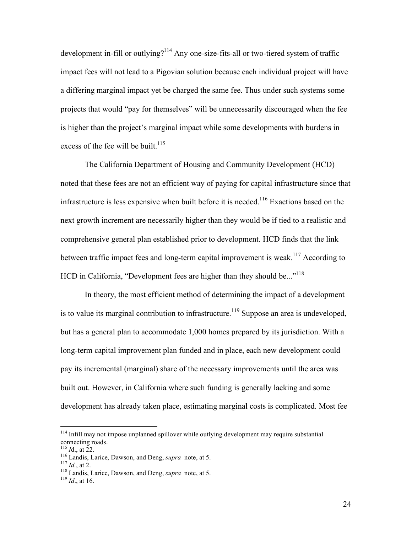development in-fill or outlying?<sup>114</sup> Any one-size-fits-all or two-tiered system of traffic impact fees will not lead to a Pigovian solution because each individual project will have a differing marginal impact yet be charged the same fee. Thus under such systems some projects that would "pay for themselves" will be unnecessarily discouraged when the fee is higher than the project's marginal impact while some developments with burdens in excess of the fee will be built.<sup>115</sup>

The California Department of Housing and Community Development (HCD) noted that these fees are not an efficient way of paying for capital infrastructure since that infrastructure is less expensive when built before it is needed.<sup>116</sup> Exactions based on the next growth increment are necessarily higher than they would be if tied to a realistic and comprehensive general plan established prior to development. HCD finds that the link between traffic impact fees and long-term capital improvement is weak.<sup>117</sup> According to HCD in California, "Development fees are higher than they should be..."<sup>118</sup>

In theory, the most efficient method of determining the impact of a development is to value its marginal contribution to infrastructure.<sup>119</sup> Suppose an area is undeveloped, but has a general plan to accommodate 1,000 homes prepared by its jurisdiction. With a long-term capital improvement plan funded and in place, each new development could pay its incremental (marginal) share of the necessary improvements until the area was built out. However, in California where such funding is generally lacking and some development has already taken place, estimating marginal costs is complicated. Most fee

 $114$  Infill may not impose unplanned spillover while outlying development may require substantial connecting roads.

<sup>&</sup>lt;sup>115</sup> *I*d., at 22. <sup>116</sup> Landis, Larice, Dawson, and Deng, *supra* note, at 5. <sup>117</sup> *Id.*, at 2. <sup>118</sup> Landis, Larice, Dawson, and Deng, *supra* note, at 5. <sup>119</sup> *Id.*, at 16.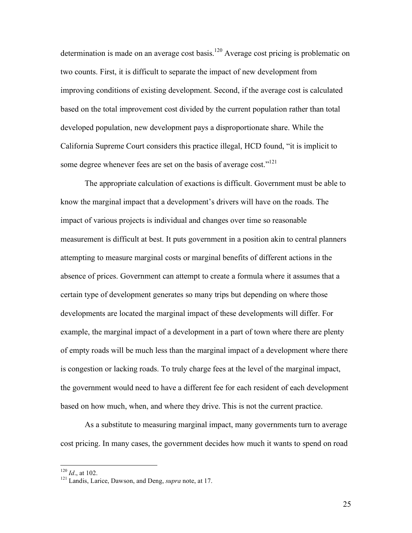determination is made on an average cost basis.<sup>120</sup> Average cost pricing is problematic on two counts. First, it is difficult to separate the impact of new development from improving conditions of existing development. Second, if the average cost is calculated based on the total improvement cost divided by the current population rather than total developed population, new development pays a disproportionate share. While the California Supreme Court considers this practice illegal, HCD found, "it is implicit to some degree whenever fees are set on the basis of average cost."<sup>121</sup>

The appropriate calculation of exactions is difficult. Government must be able to know the marginal impact that a development's drivers will have on the roads. The impact of various projects is individual and changes over time so reasonable measurement is difficult at best. It puts government in a position akin to central planners attempting to measure marginal costs or marginal benefits of different actions in the absence of prices. Government can attempt to create a formula where it assumes that a certain type of development generates so many trips but depending on where those developments are located the marginal impact of these developments will differ. For example, the marginal impact of a development in a part of town where there are plenty of empty roads will be much less than the marginal impact of a development where there is congestion or lacking roads. To truly charge fees at the level of the marginal impact, the government would need to have a different fee for each resident of each development based on how much, when, and where they drive. This is not the current practice.

As a substitute to measuring marginal impact, many governments turn to average cost pricing. In many cases, the government decides how much it wants to spend on road

<sup>&</sup>lt;sup>120</sup> *Id.*, at 102.<br><sup>121</sup> Landis, Larice, Dawson, and Deng, *supra* note, at 17.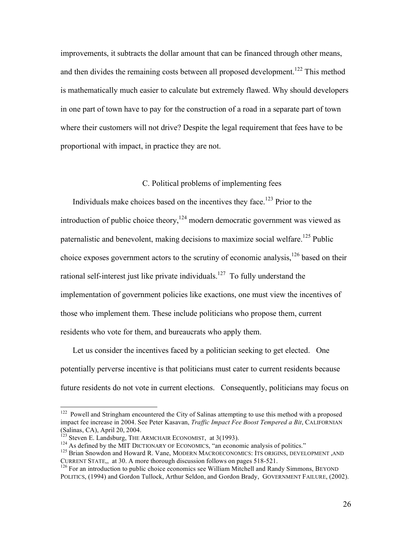improvements, it subtracts the dollar amount that can be financed through other means, and then divides the remaining costs between all proposed development.<sup>122</sup> This method is mathematically much easier to calculate but extremely flawed. Why should developers in one part of town have to pay for the construction of a road in a separate part of town where their customers will not drive? Despite the legal requirement that fees have to be proportional with impact, in practice they are not.

## C. Political problems of implementing fees

Individuals make choices based on the incentives they face.<sup>123</sup> Prior to the introduction of public choice theory,  $124$  modern democratic government was viewed as paternalistic and benevolent, making decisions to maximize social welfare.<sup>125</sup> Public choice exposes government actors to the scrutiny of economic analysis, <sup>126</sup> based on their rational self-interest just like private individuals.<sup>127</sup> To fully understand the implementation of government policies like exactions, one must view the incentives of those who implement them. These include politicians who propose them, current residents who vote for them, and bureaucrats who apply them.

Let us consider the incentives faced by a politician seeking to get elected. One potentially perverse incentive is that politicians must cater to current residents because future residents do not vote in current elections. Consequently, politicians may focus on

<sup>&</sup>lt;sup>122</sup> Powell and Stringham encountered the City of Salinas attempting to use this method with a proposed impact fee increase in 2004. See Peter Kasavan, *Traffic Impact Fee Boost Tempered a Bit*, CALIFORNIAN (Salinas, CA), April 20, 2004.<br><sup>123</sup> Steven E. Landsburg, THE ARMCHAIR ECONOMIST, at 3(1993).<br><sup>124</sup> As defined by the MIT DICTIONARY OF ECONOMICS, "an economic analysis of politics."<br><sup>125</sup> Brian Snowdon and Howard R. Vane,

CURRENT STATE,, at 30. A more thorough discussion follows on pages 518-521.<br><sup>126</sup> For an introduction to public choice economics see William Mitchell and Randy Simmons, BEYOND

POLITICS, (1994) and Gordon Tullock, Arthur Seldon, and Gordon Brady, GOVERNMENT FAILURE, (2002).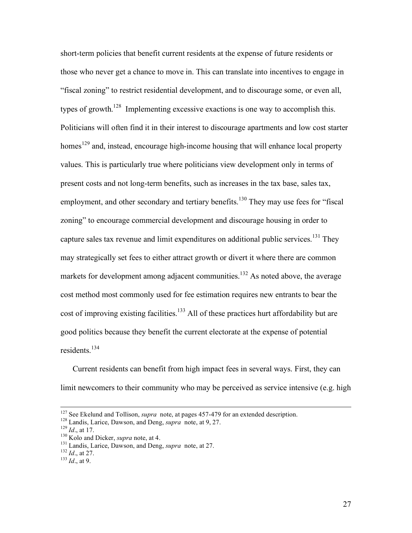short-term policies that benefit current residents at the expense of future residents or those who never get a chance to move in. This can translate into incentives to engage in "fiscal zoning" to restrict residential development, and to discourage some, or even all, types of growth.<sup>128</sup> Implementing excessive exactions is one way to accomplish this. Politicians will often find it in their interest to discourage apartments and low cost starter homes<sup>129</sup> and, instead, encourage high-income housing that will enhance local property values. This is particularly true where politicians view development only in terms of present costs and not long-term benefits, such as increases in the tax base, sales tax, employment, and other secondary and tertiary benefits.<sup>130</sup> They may use fees for "fiscal zoning" to encourage commercial development and discourage housing in order to capture sales tax revenue and limit expenditures on additional public services.<sup>131</sup> They may strategically set fees to either attract growth or divert it where there are common markets for development among adjacent communities.<sup>132</sup> As noted above, the average cost method most commonly used for fee estimation requires new entrants to bear the cost of improving existing facilities.<sup>133</sup> All of these practices hurt affordability but are good politics because they benefit the current electorate at the expense of potential residents. 134

Current residents can benefit from high impact fees in several ways. First, they can limit newcomers to their community who may be perceived as service intensive (e.g. high

<sup>&</sup>lt;sup>127</sup> See Ekelund and Tollison, *supra* note, at pages 457-479 for an extended description.<br><sup>128</sup> Landis, Larice, Dawson, and Deng, *supra* note, at 9, 27.<br><sup>129</sup> Id., at 17.<br><sup>130</sup> Kolo and Dicker, *supra* note, at 4.<br><sup>131</sup>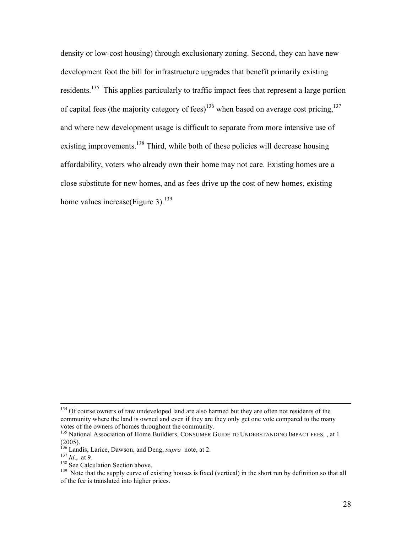density or low-cost housing) through exclusionary zoning. Second, they can have new development foot the bill for infrastructure upgrades that benefit primarily existing residents.<sup>135</sup> This applies particularly to traffic impact fees that represent a large portion of capital fees (the majority category of fees)<sup>136</sup> when based on average cost pricing,<sup>137</sup> and where new development usage is difficult to separate from more intensive use of existing improvements.<sup>138</sup> Third, while both of these policies will decrease housing affordability, voters who already own their home may not care. Existing homes are a close substitute for new homes, and as fees drive up the cost of new homes, existing home values increase(Figure 3).<sup>139</sup>

<sup>&</sup>lt;sup>134</sup> Of course owners of raw undeveloped land are also harmed but they are often not residents of the community where the land is owned and even if they are they only get one vote compared to the many votes of the owners of homes throughout the community.

 $^{135}$  National Association of Home Buildiers, CONSUMER GUIDE TO UNDERSTANDING IMPACT FEES, , at 1 (2005).<br><sup>136</sup> Landis, Larice, Dawson, and Deng, *supra* note, at 2.<br><sup>137</sup> *Id.*, at 9.<br><sup>138</sup> See Calculation Section above.<br><sup>139</sup> Note that the supply curve of existing houses is fixed (vertical) in the short run by defin

of the fee is translated into higher prices.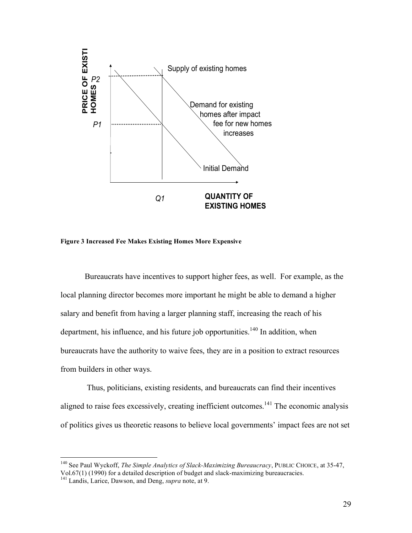

**Figure 3 Increased Fee Makes Existing Homes More Expensive**

Bureaucrats have incentives to support higher fees, as well. For example, as the local planning director becomes more important he might be able to demand a higher salary and benefit from having a larger planning staff, increasing the reach of his department, his influence, and his future job opportunities.<sup>140</sup> In addition, when bureaucrats have the authority to waive fees, they are in a position to extract resources from builders in other ways.

Thus, politicians, existing residents, and bureaucrats can find their incentives aligned to raise fees excessively, creating inefficient outcomes.<sup>141</sup> The economic analysis of politics gives us theoretic reasons to believe local governments' impact fees are not set

 <sup>140</sup> See Paul Wyckoff, *The Simple Analytics of Slack-Maximizing Bureaucracy*, PUBLIC CHOICE, at 35-47, Vol.67(1) (1990) for <sup>a</sup> detailed description of budget and slack-maximizing bureaucracies. <sup>141</sup> Landis, Larice, Dawson, and Deng, *supra* note, at 9.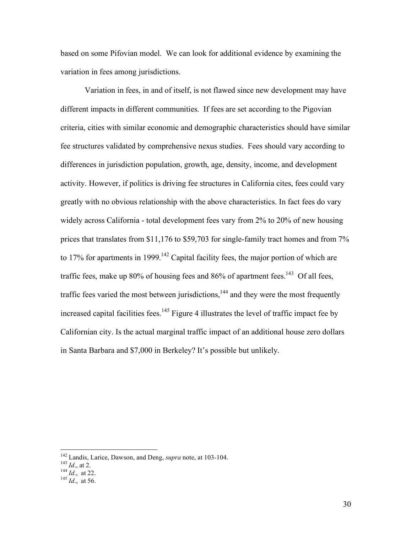based on some Pifovian model. We can look for additional evidence by examining the variation in fees among jurisdictions.

Variation in fees, in and of itself, is not flawed since new development may have different impacts in different communities. If fees are set according to the Pigovian criteria, cities with similar economic and demographic characteristics should have similar fee structures validated by comprehensive nexus studies. Fees should vary according to differences in jurisdiction population, growth, age, density, income, and development activity. However, if politics is driving fee structures in California cites, fees could vary greatly with no obvious relationship with the above characteristics. In fact fees do vary widely across California - total development fees vary from 2% to 20% of new housing prices that translates from \$11,176 to \$59,703 for single-family tract homes and from 7% to 17% for apartments in 1999.<sup>142</sup> Capital facility fees, the major portion of which are traffic fees, make up 80% of housing fees and 86% of apartment fees.<sup>143</sup> Of all fees, traffic fees varied the most between jurisdictions,  $144$  and they were the most frequently increased capital facilities fees.<sup>145</sup> Figure 4 illustrates the level of traffic impact fee by Californian city. Is the actual marginal traffic impact of an additional house zero dollars in Santa Barbara and \$7,000 in Berkeley? It's possible but unlikely.

<sup>&</sup>lt;sup>142</sup> Landis, Larice, Dawson, and Deng, *supra* note, at 103-104.<br><sup>143</sup> *Id*., at 2.<br><sup>144</sup> *Id*., at 22.<br><sup>145</sup> *Id*., at 56.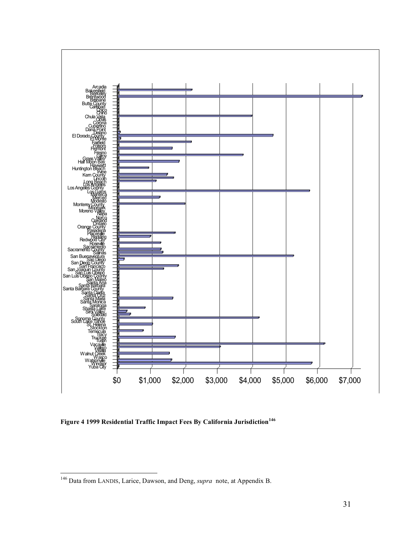

**Figure 4 1999 Residential Traffic Impact Fees By California Jurisdiction<sup>146</sup>**

 <sup>146</sup> Data from LANDIS, Larice, Dawson, and Deng, *supra* note, at Appendix B.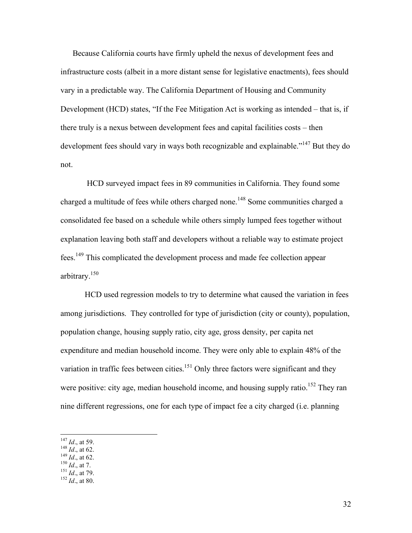Because California courts have firmly upheld the nexus of development fees and infrastructure costs (albeit in a more distant sense for legislative enactments), fees should vary in a predictable way. The California Department of Housing and Community Development (HCD) states, "If the Fee Mitigation Act is working as intended – that is, if there truly is a nexus between development fees and capital facilities costs – then development fees should vary in ways both recognizable and explainable."<sup>147</sup> But they do not.

HCD surveyed impact fees in 89 communities in California. They found some charged a multitude of fees while others charged none.<sup>148</sup> Some communities charged a consolidated fee based on a schedule while others simply lumped fees together without explanation leaving both staff and developers without a reliable way to estimate project fees.<sup>149</sup> This complicated the development process and made fee collection appear arbitrary. 150

HCD used regression models to try to determine what caused the variation in fees among jurisdictions. They controlled for type of jurisdiction (city or county), population, population change, housing supply ratio, city age, gross density, per capita net expenditure and median household income. They were only able to explain 48% of the variation in traffic fees between cities.<sup>151</sup> Only three factors were significant and they were positive: city age, median household income, and housing supply ratio.<sup>152</sup> They ran nine different regressions, one for each type of impact fee a city charged (i.e. planning

- 147 *Id.*, at 59.<br>
148 *Id.*, at 62.<br>
149 *Id.*, at 62.<br>
150 *Id.*, at 7.<br>
151 *Id.*, at 79.<br>
152 *Id.*, at 80.
- 
- 
- 
-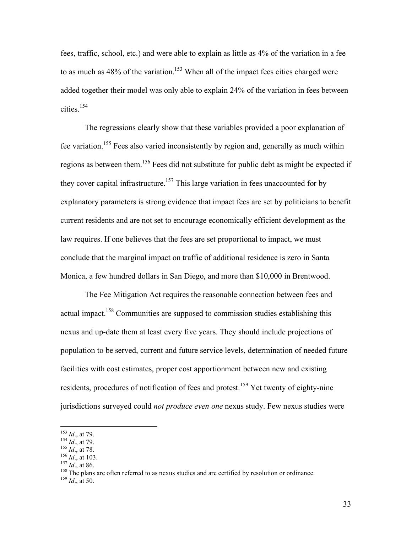fees, traffic, school, etc.) and were able to explain as little as 4% of the variation in a fee to as much as  $48\%$  of the variation.<sup>153</sup> When all of the impact fees cities charged were added together their model was only able to explain 24% of the variation in fees between cities. 154

The regressions clearly show that these variables provided a poor explanation of fee variation.<sup>155</sup> Fees also varied inconsistently by region and, generally as much within regions as between them.<sup>156</sup> Fees did not substitute for public debt as might be expected if they cover capital infrastructure.<sup>157</sup> This large variation in fees unaccounted for by explanatory parameters is strong evidence that impact fees are set by politicians to benefit current residents and are not set to encourage economically efficient development as the law requires. If one believes that the fees are set proportional to impact, we must conclude that the marginal impact on traffic of additional residence is zero in Santa Monica, a few hundred dollars in San Diego, and more than \$10,000 in Brentwood.

The Fee Mitigation Act requires the reasonable connection between fees and actual impact.<sup>158</sup> Communities are supposed to commission studies establishing this nexus and up-date them at least every five years. They should include projections of population to be served, current and future service levels, determination of needed future facilities with cost estimates, proper cost apportionment between new and existing residents, procedures of notification of fees and protest.<sup>159</sup> Yet twenty of eighty-nine jurisdictions surveyed could *not produce even one* nexus study. Few nexus studies were

<sup>153</sup> *Id.*, at 79.<br><sup>154</sup> *Id.*, at 79.<br><sup>155</sup> *Id.*, at 78.<br><sup>156</sup> *Id.*, at 103.<br><sup>157</sup> *Id.*, at 86.<br><sup>158</sup> The plans are often referred to as nexus studies and are certified by resolution or ordinance.<br><sup>159</sup> *Id.* at 50.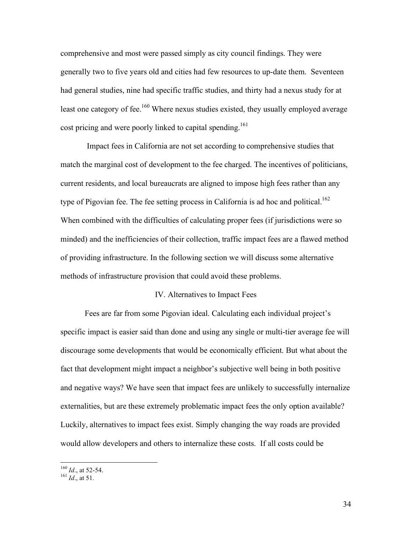comprehensive and most were passed simply as city council findings. They were generally two to five years old and cities had few resources to up-date them. Seventeen had general studies, nine had specific traffic studies, and thirty had a nexus study for at least one category of fee.<sup>160</sup> Where nexus studies existed, they usually employed average cost pricing and were poorly linked to capital spending.<sup>161</sup>

Impact fees in California are not set according to comprehensive studies that match the marginal cost of development to the fee charged. The incentives of politicians, current residents, and local bureaucrats are aligned to impose high fees rather than any type of Pigovian fee. The fee setting process in California is ad hoc and political.<sup>162</sup> When combined with the difficulties of calculating proper fees (if jurisdictions were so minded) and the inefficiencies of their collection, traffic impact fees are a flawed method of providing infrastructure. In the following section we will discuss some alternative methods of infrastructure provision that could avoid these problems.

#### IV. Alternatives to Impact Fees

Fees are far from some Pigovian ideal. Calculating each individual project's specific impact is easier said than done and using any single or multi-tier average fee will discourage some developments that would be economically efficient. But what about the fact that development might impact a neighbor's subjective well being in both positive and negative ways? We have seen that impact fees are unlikely to successfully internalize externalities, but are these extremely problematic impact fees the only option available? Luckily, alternatives to impact fees exist. Simply changing the way roads are provided would allow developers and others to internalize these costs. If all costs could be

34

<sup>160</sup> *Id*., at 52-54. <sup>161</sup> *Id*., at 51.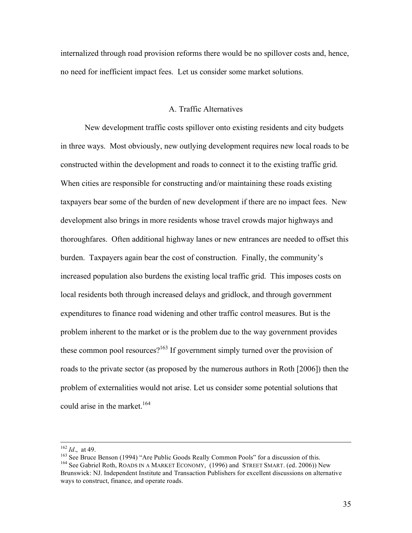internalized through road provision reforms there would be no spillover costs and, hence, no need for inefficient impact fees. Let us consider some market solutions.

## A. Traffic Alternatives

New development traffic costs spillover onto existing residents and city budgets in three ways. Most obviously, new outlying development requires new local roads to be constructed within the development and roads to connect it to the existing traffic grid. When cities are responsible for constructing and/or maintaining these roads existing taxpayers bear some of the burden of new development if there are no impact fees. New development also brings in more residents whose travel crowds major highways and thoroughfares. Often additional highway lanes or new entrances are needed to offset this burden. Taxpayers again bear the cost of construction. Finally, the community's increased population also burdens the existing local traffic grid. This imposes costs on local residents both through increased delays and gridlock, and through government expenditures to finance road widening and other traffic control measures. But is the problem inherent to the market or is the problem due to the way government provides these common pool resources?<sup>163</sup> If government simply turned over the provision of roads to the private sector (as proposed by the numerous authors in Roth [2006]) then the problem of externalities would not arise. Let us consider some potential solutions that could arise in the market. 164

<sup>&</sup>lt;sup>162</sup> *Id.*, at 49.<br><sup>163</sup> See Bruce Benson (1994) "Are Public Goods Really Common Pools" for a discussion of this.<br><sup>164</sup> See Gabriel Roth, ROADS IN A MARKET ECONOMY, (1996) and STREET SMART. (ed. 2006)) New Brunswick: NJ. Independent Institute and Transaction Publishers for excellent discussions on alternative ways to construct, finance, and operate roads.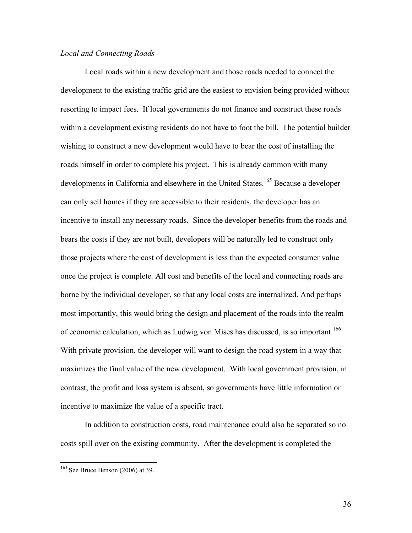## *Local and Connecting Roads*

Local roads within a new development and those roads needed to connect the development to the existing traffic grid are the easiest to envision being provided without resorting to impact fees. If local governments do not finance and construct these roads within a development existing residents do not have to foot the bill. The potential builder wishing to construct a new development would have to bear the cost of installing the roads himself in order to complete his project. This is already common with many developments in California and elsewhere in the United States.<sup>165</sup> Because a developer can only sell homes if they are accessible to their residents, the developer has an incentive to install any necessary roads. Since the developer benefits from the roads and bears the costs if they are not built, developers will be naturally led to construct only those projects where the cost of development is less than the expected consumer value once the project is complete. All cost and benefits of the local and connecting roads are borne by the individual developer, so that any local costs are internalized. And perhaps most importantly, this would bring the design and placement of the roads into the realm of economic calculation, which as Ludwig von Mises has discussed, is so important.<sup>166</sup> With private provision, the developer will want to design the road system in a way that maximizes the final value of the new development. With local government provision, in contrast, the profit and loss system is absent, so governments have little information or incentive to maximize the value of a specific tract.

In addition to construction costs, road maintenance could also be separated so no costs spill over on the existing community. After the development is completed the

<sup>&</sup>lt;sup>165</sup> See Bruce Benson (2006) at 39.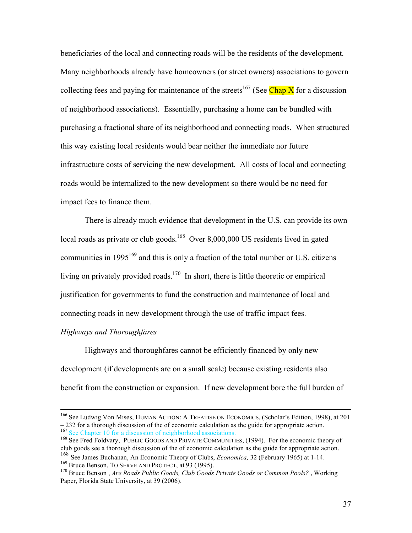beneficiaries of the local and connecting roads will be the residents of the development. Many neighborhoods already have homeowners (or street owners) associations to govern collecting fees and paying for maintenance of the streets<sup>167</sup> (See Chap X for a discussion of neighborhood associations). Essentially, purchasing a home can be bundled with purchasing a fractional share of its neighborhood and connecting roads. When structured this way existing local residents would bear neither the immediate nor future infrastructure costs of servicing the new development. All costs of local and connecting roads would be internalized to the new development so there would be no need for impact fees to finance them.

There is already much evidence that development in the U.S. can provide its own local roads as private or club goods.<sup>168</sup> Over 8,000,000 US residents lived in gated communities in  $1995^{169}$  and this is only a fraction of the total number or U.S. citizens living on privately provided roads.<sup>170</sup> In short, there is little theoretic or empirical justification for governments to fund the construction and maintenance of local and connecting roads in new development through the use of traffic impact fees.

# *Highways and Thoroughfares*

Highways and thoroughfares cannot be efficiently financed by only new development (if developments are on a small scale) because existing residents also benefit from the construction or expansion. If new development bore the full burden of

 <sup>166</sup> See Ludwig Von Mises, HUMAN ACTION: <sup>A</sup> TREATISE ON ECONOMICS, (Scholar's Edition, 1998), at <sup>201</sup>

 $-232$  for a thorough discussion of the of economic calculation as the guide for appropriate action.<br><sup>167</sup> See Chapter 10 for a discussion of neighborhood associations.<br><sup>168</sup> See Fred Foldvary, PUBLIC GOODS AND PRIVATE CO <sup>168</sup> See James Buchanan, An Economic Theory of Clubs, *Economica*, 32 (February 1965) at 1-14.<br><sup>169</sup> Bruce Benson. TO SERVE AND PROTECT, at 93 (1995).

<sup>&</sup>lt;sup>170</sup> Bruce Benson, *Are Roads Public Goods, Club Goods Private Goods or Common Pools*?, Working Paper, Florida State University, at 39 (2006).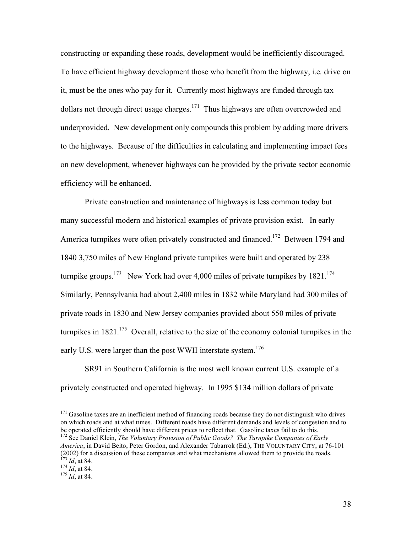constructing or expanding these roads, development would be inefficiently discouraged. To have efficient highway development those who benefit from the highway, i.e. drive on it, must be the ones who pay for it. Currently most highways are funded through tax dollars not through direct usage charges.<sup>171</sup> Thus highways are often overcrowded and underprovided. New development only compounds this problem by adding more drivers to the highways. Because of the difficulties in calculating and implementing impact fees on new development, whenever highways can be provided by the private sector economic efficiency will be enhanced.

Private construction and maintenance of highways is less common today but many successful modern and historical examples of private provision exist. In early America turnpikes were often privately constructed and financed.<sup>172</sup> Between 1794 and 1840 3,750 miles of New England private turnpikes were built and operated by 238 turnpike groups.<sup>173</sup> New York had over 4,000 miles of private turnpikes by 1821.<sup>174</sup> Similarly, Pennsylvania had about 2,400 miles in 1832 while Maryland had 300 miles of private roads in 1830 and New Jersey companies provided about 550 miles of private turnpikes in  $1821$ .<sup>175</sup> Overall, relative to the size of the economy colonial turnpikes in the early U.S. were larger than the post WWII interstate system.<sup>176</sup>

SR91 in Southern California is the most well known current U.S. example of a privately constructed and operated highway. In 1995 \$134 million dollars of private

 $171$  Gasoline taxes are an inefficient method of financing roads because they do not distinguish who drives on which roads and at what times. Different roads have different demands and levels of congestion and to be operated efficiently should have different prices to reflect that. Gasoline taxes fail to do this.<br><sup>172</sup> See Daniel Klein, *The Voluntary Provision of Public Goods? The Turnpike Companies of Early* 

*America*, in David Beito, Peter Gordon, and Alexander Tabarrok (Ed.), THE VOLUNTARY CITY, at 76-101 (2002) for a discussion of these companies and what mechanisms allowed them to provide the roads.<br>  $^{173}$  *Id*, at 84.<br>  $^{174}$  *Id*, at 84.<br>  $^{175}$  *Id*, at 84.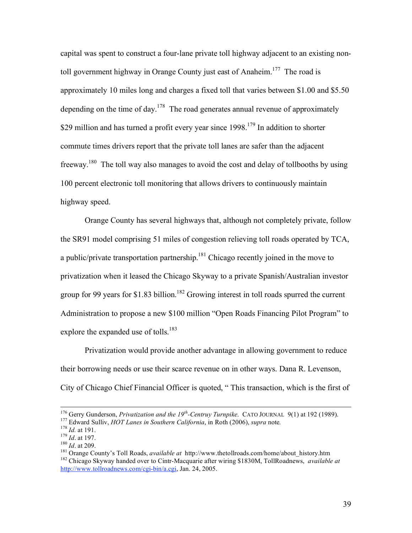capital was spent to construct a four-lane private toll highway adjacent to an existing nontoll government highway in Orange County just east of Anaheim.<sup>177</sup> The road is approximately 10 miles long and charges a fixed toll that varies between \$1.00 and \$5.50 depending on the time of day.<sup>178</sup> The road generates annual revenue of approximately \$29 million and has turned a profit every year since  $1998$ <sup>179</sup> In addition to shorter commute times drivers report that the private toll lanes are safer than the adjacent freeway.<sup>180</sup> The toll way also manages to avoid the cost and delay of tollbooths by using 100 percent electronic toll monitoring that allows drivers to continuously maintain highway speed.

Orange County has several highways that, although not completely private, follow the SR91 model comprising 51 miles of congestion relieving toll roads operated by TCA, a public/private transportation partnership.<sup>181</sup> Chicago recently joined in the move to privatization when it leased the Chicago Skyway to a private Spanish/Australian investor group for 99 years for \$1.83 billion.<sup>182</sup> Growing interest in toll roads spurred the current Administration to propose a new \$100 million "Open Roads Financing Pilot Program" to explore the expanded use of tolls.<sup>183</sup>

Privatization would provide another advantage in allowing government to reduce their borrowing needs or use their scarce revenue on in other ways. Dana R. Levenson, City of Chicago Chief Financial Officer is quoted, " This transaction, which is the first of

<sup>&</sup>lt;sup>176</sup> Gerry Gunderson, *Privatization and the 19<sup>th</sup>-Centruy Turnpike.* CATO JOURNAL 9(1) at 192 (1989).<br><sup>177</sup> Edward Sulliv, *HOT Lanes in Southern California*, in Roth (2006), *supra* note.

<sup>&</sup>lt;sup>178</sup> *Id.* at 191.<br>
<sup>179</sup> *Id.* at 197.<br>
<sup>180</sup> *Id.* at 209.<br>
<sup>181</sup> Orange County's Toll Roads, *available at* http://www.thetollroads.com/home/about\_history.htm<br>
<sup>181</sup> Orange County's Toll Roads, *available at* http://w http://www.tollroadnews.com/cgi-bin/a.cgi, Jan. 24, 2005.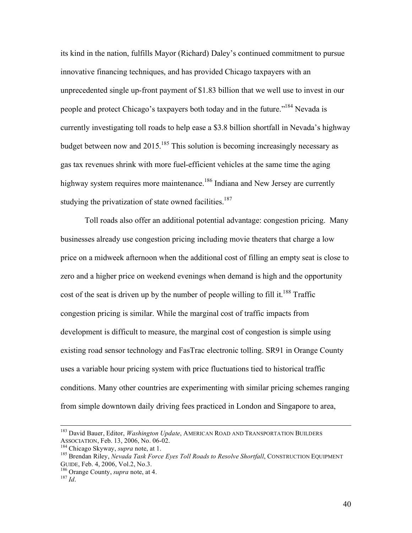its kind in the nation, fulfills Mayor (Richard) Daley's continued commitment to pursue innovative financing techniques, and has provided Chicago taxpayers with an unprecedented single up-front payment of \$1.83 billion that we well use to invest in our people and protect Chicago's taxpayers both today and in the future."<sup>184</sup> Nevada is currently investigating toll roads to help ease a \$3.8 billion shortfall in Nevada's highway budget between now and 2015.<sup>185</sup> This solution is becoming increasingly necessary as gas tax revenues shrink with more fuel-efficient vehicles at the same time the aging highway system requires more maintenance.<sup>186</sup> Indiana and New Jersey are currently studying the privatization of state owned facilities.<sup>187</sup>

Toll roads also offer an additional potential advantage: congestion pricing. Many businesses already use congestion pricing including movie theaters that charge a low price on a midweek afternoon when the additional cost of filling an empty seat is close to zero and a higher price on weekend evenings when demand is high and the opportunity cost of the seat is driven up by the number of people willing to fill it.<sup>188</sup> Traffic congestion pricing is similar. While the marginal cost of traffic impacts from development is difficult to measure, the marginal cost of congestion is simple using existing road sensor technology and FasTrac electronic tolling. SR91 in Orange County uses a variable hour pricing system with price fluctuations tied to historical traffic conditions. Many other countries are experimenting with similar pricing schemes ranging from simple downtown daily driving fees practiced in London and Singapore to area,

 <sup>183</sup> David Bauer, Editor, *Washington Update*, AMERICAN ROAD AND TRANSPORTATION BUILDERS

ASSOCIATION, Feb. 13, 2006, No. 06-02.<br><sup>184</sup> Chicago Skyway, *supra* note, at 1.<br><sup>185</sup> Brendan Riley, *Nevada Task Force Eyes Toll Roads to Resolve Shortfall*, CONSTRUCTION EQUIPMENT<br>GUIDE, Feb. 4, 2006, Vol.2, No.3.

<sup>&</sup>lt;sup>186</sup> Orange County, *supra* note, at 4. <sup>187</sup> *Id*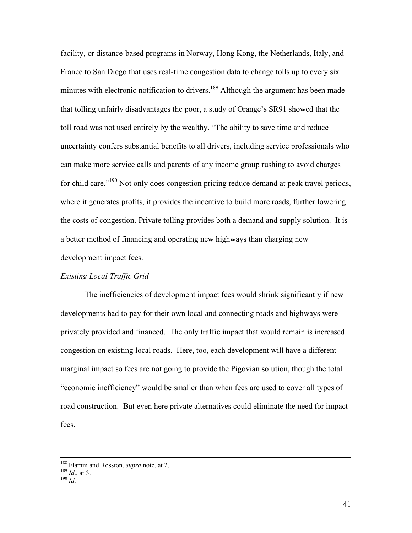facility, or distance-based programs in Norway, Hong Kong, the Netherlands, Italy, and France to San Diego that uses real-time congestion data to change tolls up to every six minutes with electronic notification to drivers.<sup>189</sup> Although the argument has been made that tolling unfairly disadvantages the poor, a study of Orange's SR91 showed that the toll road was not used entirely by the wealthy. "The ability to save time and reduce uncertainty confers substantial benefits to all drivers, including service professionals who can make more service calls and parents of any income group rushing to avoid charges for child care."<sup>190</sup> Not only does congestion pricing reduce demand at peak travel periods, where it generates profits, it provides the incentive to build more roads, further lowering the costs of congestion. Private tolling provides both a demand and supply solution. It is a better method of financing and operating new highways than charging new development impact fees.

## *Existing Local Traffic Grid*

The inefficiencies of development impact fees would shrink significantly if new developments had to pay for their own local and connecting roads and highways were privately provided and financed. The only traffic impact that would remain is increased congestion on existing local roads. Here, too, each development will have a different marginal impact so fees are not going to provide the Pigovian solution, though the total "economic inefficiency" would be smaller than when fees are used to cover all types of road construction. But even here private alternatives could eliminate the need for impact fees.

<sup>&</sup>lt;sup>188</sup> Flamm and Rosston, *supra* note, at 2.<br><sup>189</sup> *Id*., at 3.<br><sup>190</sup> *Id*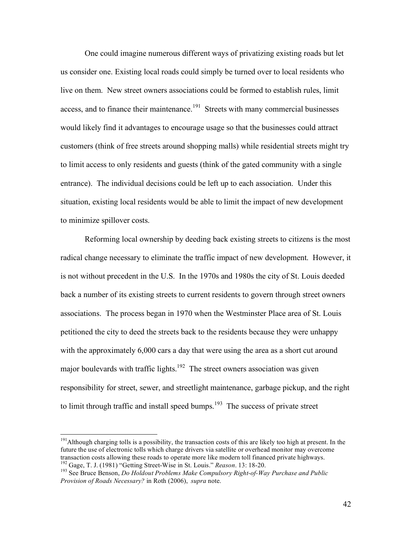One could imagine numerous different ways of privatizing existing roads but let us consider one. Existing local roads could simply be turned over to local residents who live on them. New street owners associations could be formed to establish rules, limit access, and to finance their maintenance.<sup>191</sup> Streets with many commercial businesses would likely find it advantages to encourage usage so that the businesses could attract customers (think of free streets around shopping malls) while residential streets might try to limit access to only residents and guests (think of the gated community with a single entrance). The individual decisions could be left up to each association. Under this situation, existing local residents would be able to limit the impact of new development to minimize spillover costs.

Reforming local ownership by deeding back existing streets to citizens is the most radical change necessary to eliminate the traffic impact of new development. However, it is not without precedent in the U.S. In the 1970s and 1980s the city of St. Louis deeded back a number of its existing streets to current residents to govern through street owners associations. The process began in 1970 when the Westminster Place area of St. Louis petitioned the city to deed the streets back to the residents because they were unhappy with the approximately 6,000 cars a day that were using the area as a short cut around major boulevards with traffic lights.<sup>192</sup> The street owners association was given responsibility for street, sewer, and streetlight maintenance, garbage pickup, and the right to limit through traffic and install speed bumps.<sup>193</sup> The success of private street

<sup>&</sup>lt;sup>191</sup> Although charging tolls is a possibility, the transaction costs of this are likely too high at present. In the future the use of electronic tolls which charge drivers via satellite or overhead monitor may overcome transaction costs allowing these roads to operate more like modern toll financed private highways.<br><sup>192</sup> Gage, T. J. (1981) "Getting Street-Wise in St. Louis." *Reason*. 13: 18-20.<br><sup>193</sup> See Bruce Benson. *Do Holdout Probl* 

*Provision of Roads Necessary?* in Roth (2006), *supra* note.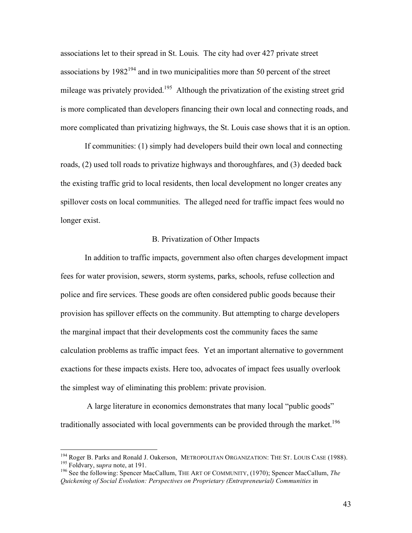associations let to their spread in St. Louis. The city had over 427 private street associations by  $1982^{194}$  and in two municipalities more than 50 percent of the street mileage was privately provided.<sup>195</sup> Although the privatization of the existing street grid is more complicated than developers financing their own local and connecting roads, and more complicated than privatizing highways, the St. Louis case shows that it is an option.

If communities: (1) simply had developers build their own local and connecting roads, (2) used toll roads to privatize highways and thoroughfares, and (3) deeded back the existing traffic grid to local residents, then local development no longer creates any spillover costs on local communities. The alleged need for traffic impact fees would no longer exist.

#### B. Privatization of Other Impacts

In addition to traffic impacts, government also often charges development impact fees for water provision, sewers, storm systems, parks, schools, refuse collection and police and fire services. These goods are often considered public goods because their provision has spillover effects on the community. But attempting to charge developers the marginal impact that their developments cost the community faces the same calculation problems as traffic impact fees. Yet an important alternative to government exactions for these impacts exists. Here too, advocates of impact fees usually overlook the simplest way of eliminating this problem: private provision.

A large literature in economics demonstrates that many local "public goods" traditionally associated with local governments can be provided through the market.<sup>196</sup>

<sup>&</sup>lt;sup>194</sup> Roger B. Parks and Ronald J. Oakerson, METROPOLITAN ORGANIZATION: THE ST. LOUIS CASE (1988).<br><sup>195</sup> Foldvary, supra note, at 191.<br><sup>196</sup> See the following: Spencer MacCallum. THE ART OF COMMUNITY, (1970); Spencer MacC

*Quickening of Social Evolution: Perspectives on Proprietary (Entrepreneurial) Communities* in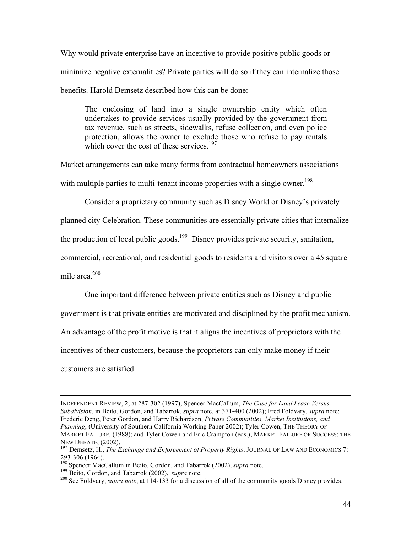Why would private enterprise have an incentive to provide positive public goods or minimize negative externalities? Private parties will do so if they can internalize those benefits. Harold Demsetz described how this can be done:

The enclosing of land into a single ownership entity which often undertakes to provide services usually provided by the government from tax revenue, such as streets, sidewalks, refuse collection, and even police protection, allows the owner to exclude those who refuse to pay rentals which cover the cost of these services. $197$ 

Market arrangements can take many forms from contractual homeowners associations with multiple parties to multi-tenant income properties with a single owner.<sup>198</sup>

Consider a proprietary community such as Disney World or Disney's privately

planned city Celebration. These communities are essentially private cities that internalize

the production of local public goods.<sup>199</sup> Disney provides private security, sanitation,

commercial, recreational, and residential goods to residents and visitors over a 45 square

mile area. 200

One important difference between private entities such as Disney and public

government is that private entities are motivated and disciplined by the profit mechanism.

An advantage of the profit motive is that it aligns the incentives of proprietors with the

incentives of their customers, because the proprietors can only make money if their

customers are satisfied.

 $\overline{a}$ 

INDEPENDENT REVIEW, 2, at 287-302 (1997); Spencer MacCallum, *The Case for Land Lease Versus Subdivision*, in Beito, Gordon, and Tabarrok, *supra* note, at 371-400 (2002); Fred Foldvary, *supra* note; Frederic Deng, Peter Gordon, and Harry Richardson, *Private Communities, Market Institutions, and Planning*, (University of Southern California Working Paper 2002); Tyler Cowen, THE THEORY OF MARKET FAILURE, (1988); and Tyler Cowen and Eric Crampton (eds.), MARKET FAILURE OR SUCCESS: THE

NEW DEBATE, (2002).<br><sup>197</sup> Demsetz, H., *The Exchange and Enforcement of Property Rights*, JOURNAL OF LAW AND ECONOMICS 7:<br>293-306 (1964).

<sup>&</sup>lt;sup>198</sup> Spencer MacCallum in Beito, Gordon, and Tabarrok (2002), *supra* note.<br><sup>199</sup> Beito, Gordon, and Tabarrok (2002), *supra* note.<br><sup>200</sup> See Foldvary, *supra note*, at 114-133 for a discussion of all of the community go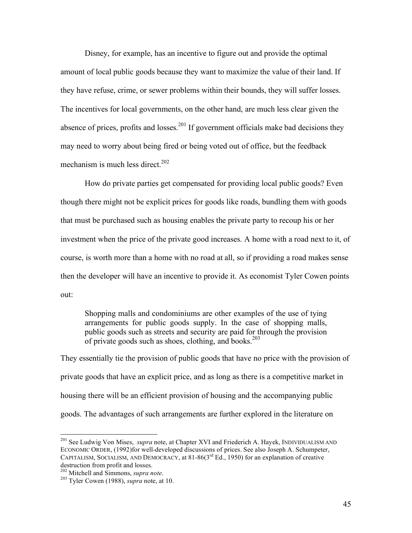Disney, for example, has an incentive to figure out and provide the optimal amount of local public goods because they want to maximize the value of their land. If they have refuse, crime, or sewer problems within their bounds, they will suffer losses. The incentives for local governments, on the other hand, are much less clear given the absence of prices, profits and losses.<sup>201</sup> If government officials make bad decisions they may need to worry about being fired or being voted out of office, but the feedback mechanism is much less direct. 202

How do private parties get compensated for providing local public goods? Even though there might not be explicit prices for goods like roads, bundling them with goods that must be purchased such as housing enables the private party to recoup his or her investment when the price of the private good increases. A home with a road next to it, of course, is worth more than a home with no road at all, so if providing a road makes sense then the developer will have an incentive to provide it. As economist Tyler Cowen points out:

Shopping malls and condominiums are other examples of the use of tying arrangements for public goods supply. In the case of shopping malls, public goods such as streets and security are paid for through the provision of private goods such as shoes, clothing, and books.<sup>203</sup>

They essentially tie the provision of public goods that have no price with the provision of private goods that have an explicit price, and as long as there is a competitive market in housing there will be an efficient provision of housing and the accompanying public goods. The advantages of such arrangements are further explored in the literature on

<sup>&</sup>lt;sup>201</sup> See Ludwig Von Mises, *supra* note, at Chapter XVI and Friederich A. Hayek, INDIVIDUALISM AND ECONOMIC ORDER, (1992)for well-developed discussions of prices. See also Joseph A. Schumpeter, CAPITALISM, SOCIALISM, AND DEMOCRACY, at  $81-86(3^{rd} Ed., 1950)$  for an explanation of creative destruction from profit and losses.

<sup>&</sup>lt;sup>202</sup> Mitchell and Simmons, *supra note*.<br><sup>203</sup> Tyler Cowen (1988), *supra* note, at 10.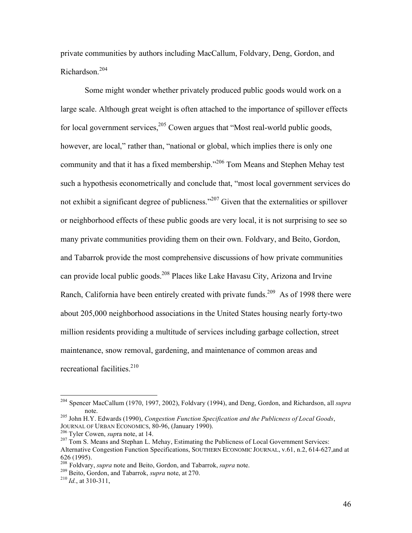private communities by authors including MacCallum, Foldvary, Deng, Gordon, and Richardson. 204

Some might wonder whether privately produced public goods would work on a large scale. Although great weight is often attached to the importance of spillover effects for local government services,<sup>205</sup> Cowen argues that "Most real-world public goods, however, are local," rather than, "national or global, which implies there is only one community and that it has a fixed membership."<sup>206</sup> Tom Means and Stephen Mehay test such a hypothesis econometrically and conclude that, "most local government services do not exhibit a significant degree of publicness."<sup>207</sup> Given that the externalities or spillover or neighborhood effects of these public goods are very local, it is not surprising to see so many private communities providing them on their own. Foldvary, and Beito, Gordon, and Tabarrok provide the most comprehensive discussions of how private communities can provide local public goods.<sup>208</sup> Places like Lake Havasu City, Arizona and Irvine Ranch, California have been entirely created with private funds.<sup>209</sup> As of 1998 there were about 205,000 neighborhood associations in the United States housing nearly forty-two million residents providing a multitude of services including garbage collection, street maintenance, snow removal, gardening, and maintenance of common areas and recreational facilities. 210

 <sup>204</sup> Spencer MacCallum (1970, 1997, 2002), Foldvary (1994), and Deng, Gordon, and Richardson, all *supra*

<sup>&</sup>lt;sup>205</sup> John H.Y. Edwards (1990), *Congestion Function Specification and the Publicness of Local Goods*, JOURNAL OF URBAN ECONOMICS, 80-96, (January 1990).

Fournal of URBAN ECONOMICS, 80-96, (January 1990). 206 Tyler Cowen, *supra* note, at 14.<br><sup>207</sup> Tom S. Means and Stephan L. Mehay, Estimating the Publicness of Local Government Services: Alternative Congestion Function Specifications, SOUTHERN ECONOMIC JOURNAL, v.61, n.2, 614-627,and at <sup>626</sup> (1995). <sup>208</sup> Foldvary, *supra* note and Beito, Gordon, and Tabarrok, *supra* note. <sup>209</sup> Beito, Gordon, and Tabarrok, *supra* note, at 270. <sup>210</sup> *Id.*, at 310-311,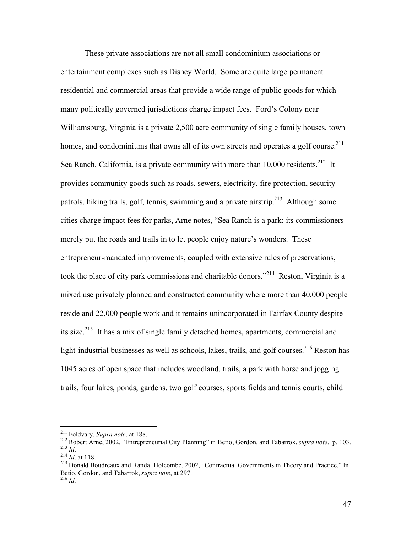These private associations are not all small condominium associations or entertainment complexes such as Disney World. Some are quite large permanent residential and commercial areas that provide a wide range of public goods for which many politically governed jurisdictions charge impact fees. Ford's Colony near Williamsburg, Virginia is a private 2,500 acre community of single family houses, town homes, and condominiums that owns all of its own streets and operates a golf course.<sup>211</sup> Sea Ranch, California, is a private community with more than 10,000 residents.<sup>212</sup> It provides community goods such as roads, sewers, electricity, fire protection, security patrols, hiking trails, golf, tennis, swimming and a private airstrip.<sup>213</sup> Although some cities charge impact fees for parks, Arne notes, "Sea Ranch is a park; its commissioners merely put the roads and trails in to let people enjoy nature's wonders. These entrepreneur-mandated improvements, coupled with extensive rules of preservations, took the place of city park commissions and charitable donors."<sup>214</sup> Reston, Virginia is a mixed use privately planned and constructed community where more than 40,000 people reside and 22,000 people work and it remains unincorporated in Fairfax County despite its size.<sup>215</sup> It has a mix of single family detached homes, apartments, commercial and light-industrial businesses as well as schools, lakes, trails, and golf courses.<sup>216</sup> Reston has 1045 acres of open space that includes woodland, trails, a park with horse and jogging trails, four lakes, ponds, gardens, two golf courses, sports fields and tennis courts, child

<sup>&</sup>lt;sup>211</sup> Foldvary, *Supra note*, at 188.<br><sup>212</sup> Robert Arne, 2002, "Entrepreneurial City Planning" in Betio, Gordon, and Tabarrok, *supra note*. p. 103.<br><sup>213</sup> *Id.*<br><sup>214</sup> *Id.* at 118.<br><sup>215</sup> Donald Boudreaux and Randal Holcom

Betio, Gordon, and Tabarrok, *supra note*, at 297. <sup>216</sup> *Id*.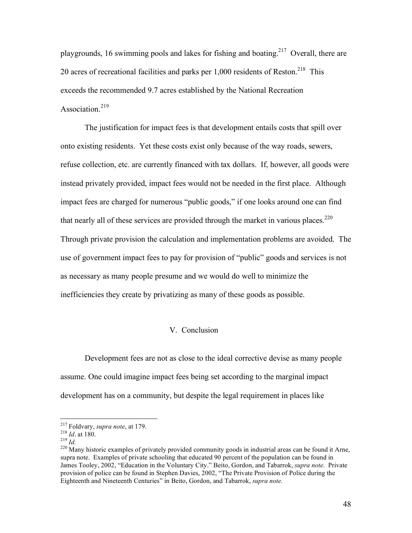playgrounds, 16 swimming pools and lakes for fishing and boating.<sup>217</sup> Overall, there are 20 acres of recreational facilities and parks per  $1,000$  residents of Reston.<sup>218</sup> This exceeds the recommended 9.7 acres established by the National Recreation Association.<sup>219</sup>

The justification for impact fees is that development entails costs that spill over onto existing residents. Yet these costs exist only because of the way roads, sewers, refuse collection, etc. are currently financed with tax dollars. If, however, all goods were instead privately provided, impact fees would not be needed in the first place. Although impact fees are charged for numerous "public goods," if one looks around one can find that nearly all of these services are provided through the market in various places. $^{220}$ Through private provision the calculation and implementation problems are avoided. The use of government impact fees to pay for provision of "public" goods and services is not as necessary as many people presume and we would do well to minimize the inefficiencies they create by privatizing as many of these goods as possible.

# V. Conclusion

Development fees are not as close to the ideal corrective devise as many people assume. One could imagine impact fees being set according to the marginal impact development has on a community, but despite the legal requirement in places like

<sup>&</sup>lt;sup>217</sup> Foldvary, *supra note*, at 179.<br><sup>218</sup> *Id.* at 180.<br><sup>219</sup> *Id.* 220 Many historic examples of privately provided community goods in industrial areas can be found it Arne, supra note. Examples of private schooling that educated 90 percent of the population can be found in James Tooley, 2002, "Education in the Voluntary City." Beito, Gordon, and Tabarrok, *supra note*. Private provision of police can be found in Stephen Davies, 2002, "The Private Provision of Police during the Eighteenth and Nineteenth Centuries" in Beito, Gordon, and Tabarrok, *supra note.*